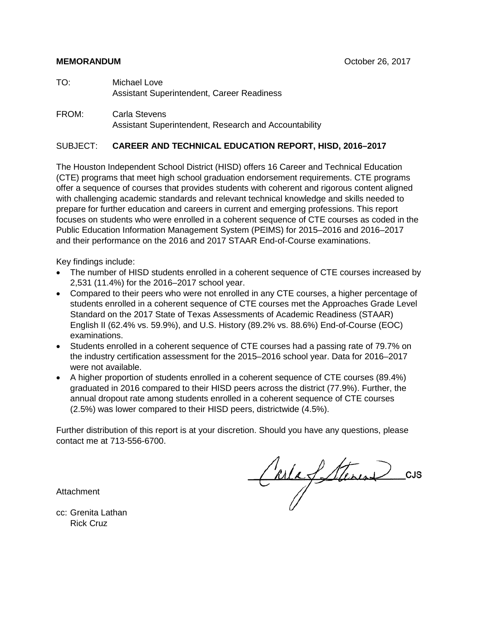- TO: Michael Love Assistant Superintendent, Career Readiness
- FROM: Carla Stevens Assistant Superintendent, Research and Accountability

#### SUBJECT: **CAREER AND TECHNICAL EDUCATION REPORT, HISD, 2016–2017**

The Houston Independent School District (HISD) offers 16 Career and Technical Education (CTE) programs that meet high school graduation endorsement requirements. CTE programs offer a sequence of courses that provides students with coherent and rigorous content aligned with challenging academic standards and relevant technical knowledge and skills needed to prepare for further education and careers in current and emerging professions. This report focuses on students who were enrolled in a coherent sequence of CTE courses as coded in the Public Education Information Management System (PEIMS) for 2015–2016 and 2016–2017 and their performance on the 2016 and 2017 STAAR End-of-Course examinations.

Key findings include:

- The number of HISD students enrolled in a coherent sequence of CTE courses increased by 2,531 (11.4%) for the 2016–2017 school year.
- Compared to their peers who were not enrolled in any CTE courses, a higher percentage of students enrolled in a coherent sequence of CTE courses met the Approaches Grade Level Standard on the 2017 State of Texas Assessments of Academic Readiness (STAAR) English II (62.4% vs. 59.9%), and U.S. History (89.2% vs. 88.6%) End-of-Course (EOC) examinations.
- Students enrolled in a coherent sequence of CTE courses had a passing rate of 79.7% on the industry certification assessment for the 2015–2016 school year. Data for 2016–2017 were not available.
- A higher proportion of students enrolled in a coherent sequence of CTE courses (89.4%) graduated in 2016 compared to their HISD peers across the district (77.9%). Further, the annual dropout rate among students enrolled in a coherent sequence of CTE courses (2.5%) was lower compared to their HISD peers, districtwide (4.5%).

Further distribution of this report is at your discretion. Should you have any questions, please contact me at 713-556-6700.

Attachment

CarlaSterine CUS

cc: Grenita Lathan Rick Cruz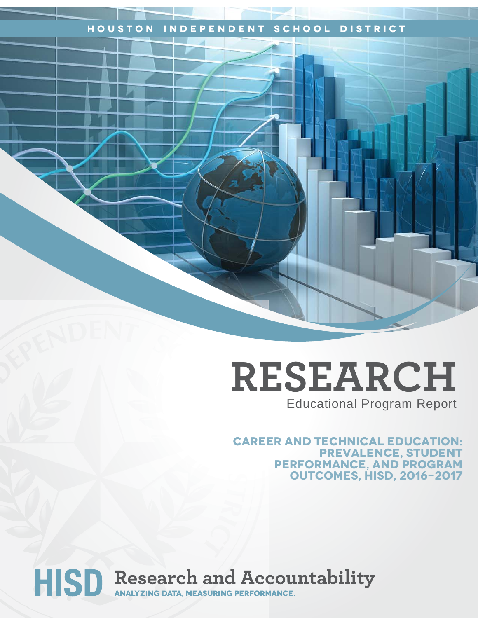## **Houston Independent School District**

## **RESEARCH** Educational Program Report

**Career and technical education: Prevalence, Student performance, and program outcomes, HISD, 2016-2017**

# HISD Research and Accountability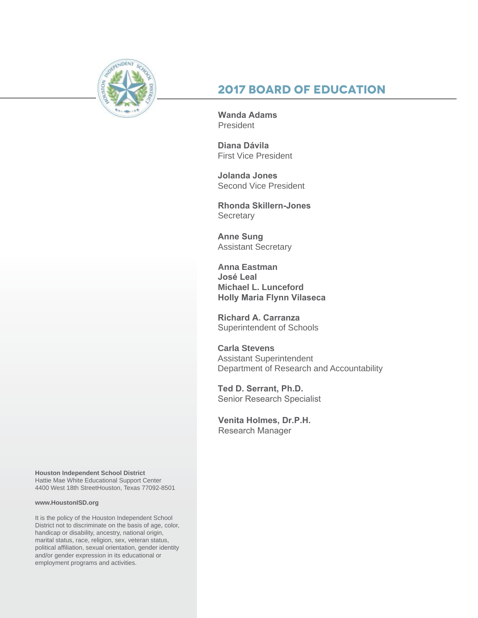

## **2017 Board of Education**

**Wanda Adams** President

**Diana Dávila**  First Vice President

**Jolanda Jones**  Second Vice President

**Rhonda Skillern-Jones Secretary** 

**Anne Sung** Assistant Secretary

**Anna Eastman José Leal Michael L. Lunceford Holly Maria Flynn Vilaseca**

**Richard A. Carranza** Superintendent of Schools

**Carla Stevens** Assistant Superintendent Department of Research and Accountability

**Ted D. Serrant, Ph.D.** Senior Research Specialist

**Venita Holmes, Dr.P.H.** Research Manager

**Houston Independent School District** Hattie Mae White Educational Support Center 4400 West 18th StreetHouston, Texas 77092-8501

#### **www.HoustonISD.org**

It is the policy of the Houston Independent School District not to discriminate on the basis of age, color, handicap or disability, ancestry, national origin, marital status, race, religion, sex, veteran status, political affiliation, sexual orientation, gender identity and/or gender expression in its educational or employment programs and activities.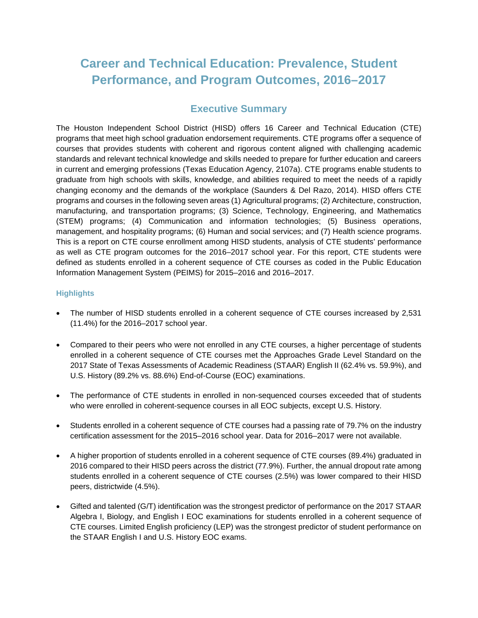## **Career and Technical Education: Prevalence, Student Performance, and Program Outcomes, 2016–2017**

## **Executive Summary**

The Houston Independent School District (HISD) offers 16 Career and Technical Education (CTE) programs that meet high school graduation endorsement requirements. CTE programs offer a sequence of courses that provides students with coherent and rigorous content aligned with challenging academic standards and relevant technical knowledge and skills needed to prepare for further education and careers in current and emerging professions (Texas Education Agency, 2107a). CTE programs enable students to graduate from high schools with skills, knowledge, and abilities required to meet the needs of a rapidly changing economy and the demands of the workplace (Saunders & Del Razo, 2014). HISD offers CTE programs and courses in the following seven areas (1) Agricultural programs; (2) Architecture, construction, manufacturing, and transportation programs; (3) Science, Technology, Engineering, and Mathematics (STEM) programs; (4) Communication and information technologies; (5) Business operations, management, and hospitality programs; (6) Human and social services; and (7) Health science programs. This is a report on CTE course enrollment among HISD students, analysis of CTE students' performance as well as CTE program outcomes for the 2016–2017 school year. For this report, CTE students were defined as students enrolled in a coherent sequence of CTE courses as coded in the Public Education Information Management System (PEIMS) for 2015–2016 and 2016–2017.

#### **Highlights**

- The number of HISD students enrolled in a coherent sequence of CTE courses increased by 2,531 (11.4%) for the 2016–2017 school year.
- Compared to their peers who were not enrolled in any CTE courses, a higher percentage of students enrolled in a coherent sequence of CTE courses met the Approaches Grade Level Standard on the 2017 State of Texas Assessments of Academic Readiness (STAAR) English II (62.4% vs. 59.9%), and U.S. History (89.2% vs. 88.6%) End-of-Course (EOC) examinations.
- The performance of CTE students in enrolled in non-sequenced courses exceeded that of students who were enrolled in coherent-sequence courses in all EOC subjects, except U.S. History.
- Students enrolled in a coherent sequence of CTE courses had a passing rate of 79.7% on the industry certification assessment for the 2015–2016 school year. Data for 2016–2017 were not available.
- A higher proportion of students enrolled in a coherent sequence of CTE courses (89.4%) graduated in 2016 compared to their HISD peers across the district (77.9%). Further, the annual dropout rate among students enrolled in a coherent sequence of CTE courses (2.5%) was lower compared to their HISD peers, districtwide (4.5%).
- Gifted and talented (G/T) identification was the strongest predictor of performance on the 2017 STAAR Algebra I, Biology, and English I EOC examinations for students enrolled in a coherent sequence of CTE courses. Limited English proficiency (LEP) was the strongest predictor of student performance on the STAAR English I and U.S. History EOC exams.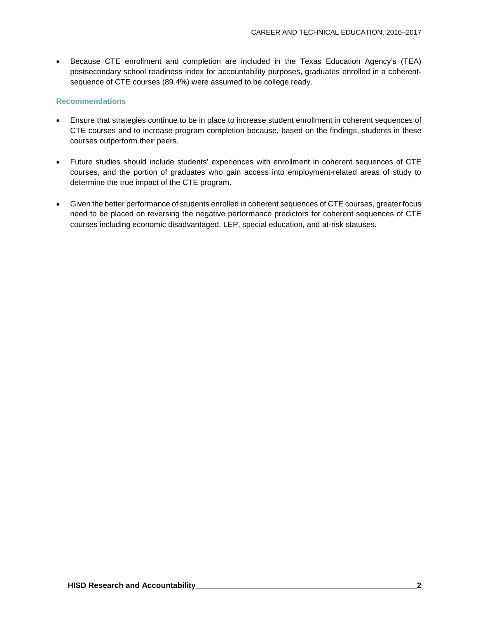• Because CTE enrollment and completion are included in the Texas Education Agency's (TEA) postsecondary school readiness index for accountability purposes, graduates enrolled in a coherentsequence of CTE courses (89.4%) were assumed to be college ready.

#### **Recommendations**

- Ensure that strategies continue to be in place to increase student enrollment in coherent sequences of CTE courses and to increase program completion because, based on the findings, students in these courses outperform their peers.
- Future studies should include students' experiences with enrollment in coherent sequences of CTE courses, and the portion of graduates who gain access into employment-related areas of study to determine the true impact of the CTE program.
- Given the better performance of students enrolled in coherent sequences of CTE courses, greater focus need to be placed on reversing the negative performance predictors for coherent sequences of CTE courses including economic disadvantaged, LEP, special education, and at-risk statuses.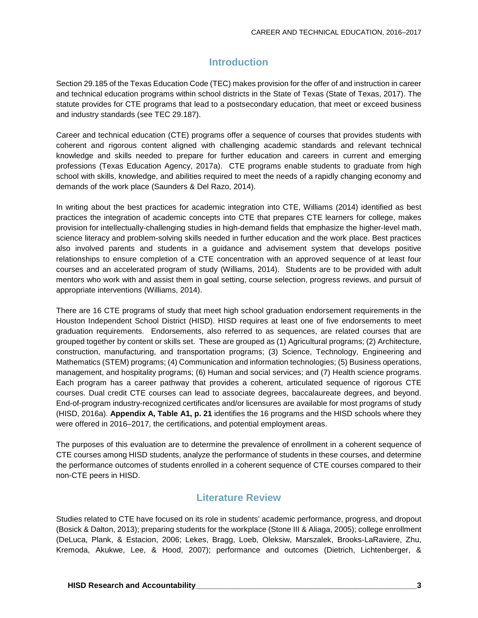## **Introduction**

Section 29.185 of the Texas Education Code (TEC) makes provision for the offer of and instruction in career and technical education programs within school districts in the State of Texas (State of Texas, 2017). The statute provides for CTE programs that lead to a postsecondary education, that meet or exceed business and industry standards (see TEC 29.187).

Career and technical education (CTE) programs offer a sequence of courses that provides students with coherent and rigorous content aligned with challenging academic standards and relevant technical knowledge and skills needed to prepare for further education and careers in current and emerging professions (Texas Education Agency, 2017a). CTE programs enable students to graduate from high school with skills, knowledge, and abilities required to meet the needs of a rapidly changing economy and demands of the work place (Saunders & Del Razo, 2014).

In writing about the best practices for academic integration into CTE, Williams (2014) identified as best practices the integration of academic concepts into CTE that prepares CTE learners for college, makes provision for intellectually-challenging studies in high-demand fields that emphasize the higher-level math, science literacy and problem-solving skills needed in further education and the work place. Best practices also involved parents and students in a guidance and advisement system that develops positive relationships to ensure completion of a CTE concentration with an approved sequence of at least four courses and an accelerated program of study (Williams, 2014). Students are to be provided with adult mentors who work with and assist them in goal setting, course selection, progress reviews, and pursuit of appropriate interventions (Williams, 2014).

There are 16 CTE programs of study that meet high school graduation endorsement requirements in the Houston Independent School District (HISD). HISD requires at least one of five endorsements to meet graduation requirements. Endorsements, also referred to as sequences, are related courses that are grouped together by content or skills set. These are grouped as (1) Agricultural programs; (2) Architecture, construction, manufacturing, and transportation programs; (3) Science, Technology, Engineering and Mathematics (STEM) programs; (4) Communication and information technologies; (5) Business operations, management, and hospitality programs; (6) Human and social services; and (7) Health science programs. Each program has a career pathway that provides a coherent, articulated sequence of rigorous CTE courses. Dual credit CTE courses can lead to associate degrees, baccalaureate degrees, and beyond. End-of-program industry-recognized certificates and/or licensures are available for most programs of study (HISD, 2016a). **Appendix A, Table A1, p. 21** identifies the 16 programs and the HISD schools where they were offered in 2016–2017, the certifications, and potential employment areas.

The purposes of this evaluation are to determine the prevalence of enrollment in a coherent sequence of CTE courses among HISD students, analyze the performance of students in these courses, and determine the performance outcomes of students enrolled in a coherent sequence of CTE courses compared to their non-CTE peers in HISD.

## **Literature Review**

Studies related to CTE have focused on its role in students' academic performance, progress, and dropout (Bosick & Dalton, 2013); preparing students for the workplace (Stone III & Aliaga, 2005); college enrollment (DeLuca, Plank, & Estacion, 2006; Lekes, Bragg, Loeb, Oleksiw, Marszalek, Brooks-LaRaviere, Zhu, Kremoda, Akukwe, Lee, & Hood, 2007); performance and outcomes (Dietrich, Lichtenberger, &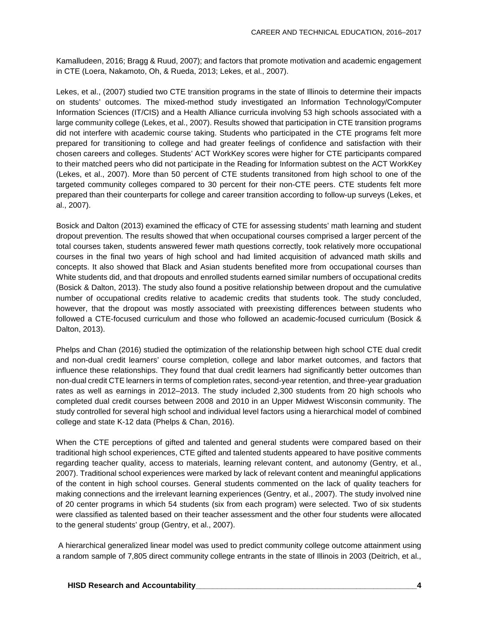Kamalludeen, 2016; Bragg & Ruud, 2007); and factors that promote motivation and academic engagement in CTE (Loera, Nakamoto, Oh, & Rueda, 2013; Lekes, et al., 2007).

Lekes, et al., (2007) studied two CTE transition programs in the state of Illinois to determine their impacts on students' outcomes. The mixed-method study investigated an Information Technology/Computer Information Sciences (IT/CIS) and a Health Alliance curricula involving 53 high schools associated with a large community college (Lekes, et al., 2007). Results showed that participation in CTE transition programs did not interfere with academic course taking. Students who participated in the CTE programs felt more prepared for transitioning to college and had greater feelings of confidence and satisfaction with their chosen careers and colleges. Students' ACT WorkKey scores were higher for CTE participants compared to their matched peers who did not participate in the Reading for Information subtest on the ACT WorkKey (Lekes, et al., 2007). More than 50 percent of CTE students transitoned from high school to one of the targeted community colleges compared to 30 percent for their non-CTE peers. CTE students felt more prepared than their counterparts for college and career transition according to follow-up surveys (Lekes, et al., 2007).

Bosick and Dalton (2013) examined the efficacy of CTE for assessing students' math learning and student dropout prevention. The results showed that when occupational courses comprised a larger percent of the total courses taken, students answered fewer math questions correctly, took relatively more occupational courses in the final two years of high school and had limited acquisition of advanced math skills and concepts. It also showed that Black and Asian students benefited more from occupational courses than White students did, and that dropouts and enrolled students earned similar numbers of occupational credits (Bosick & Dalton, 2013). The study also found a positive relationship between dropout and the cumulative number of occupational credits relative to academic credits that students took. The study concluded, however, that the dropout was mostly associated with preexisting differences between students who followed a CTE-focused curriculum and those who followed an academic-focused curriculum (Bosick & Dalton, 2013).

Phelps and Chan (2016) studied the optimization of the relationship between high school CTE dual credit and non-dual credit learners' course completion, college and labor market outcomes, and factors that influence these relationships. They found that dual credit learners had significantly better outcomes than non-dual credit CTE learners in terms of completion rates, second-year retention, and three-year graduation rates as well as earnings in 2012–2013. The study included 2,300 students from 20 high schools who completed dual credit courses between 2008 and 2010 in an Upper Midwest Wisconsin community. The study controlled for several high school and individual level factors using a hierarchical model of combined college and state K-12 data (Phelps & Chan, 2016).

When the CTE perceptions of gifted and talented and general students were compared based on their traditional high school experiences, CTE gifted and talented students appeared to have positive comments regarding teacher quality, access to materials, learning relevant content, and autonomy (Gentry, et al., 2007). Traditional school experiences were marked by lack of relevant content and meaningful applications of the content in high school courses. General students commented on the lack of quality teachers for making connections and the irrelevant learning experiences (Gentry, et al., 2007). The study involved nine of 20 center programs in which 54 students (six from each program) were selected. Two of six students were classified as talented based on their teacher assessment and the other four students were allocated to the general students' group (Gentry, et al., 2007).

A hierarchical generalized linear model was used to predict community college outcome attainment using a random sample of 7,805 direct community college entrants in the state of Illinois in 2003 (Deitrich, et al.,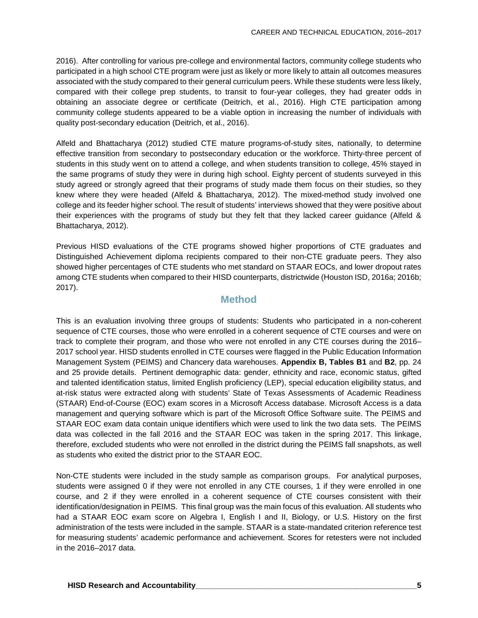2016). After controlling for various pre-college and environmental factors, community college students who participated in a high school CTE program were just as likely or more likely to attain all outcomes measures associated with the study compared to their general curriculum peers. While these students were less likely, compared with their college prep students, to transit to four-year colleges, they had greater odds in obtaining an associate degree or certificate (Deitrich, et al., 2016). High CTE participation among community college students appeared to be a viable option in increasing the number of individuals with quality post-secondary education (Deitrich, et al., 2016).

Alfeld and Bhattacharya (2012) studied CTE mature programs-of-study sites, nationally, to determine effective transition from secondary to postsecondary education or the workforce. Thirty-three percent of students in this study went on to attend a college, and when students transition to college, 45% stayed in the same programs of study they were in during high school. Eighty percent of students surveyed in this study agreed or strongly agreed that their programs of study made them focus on their studies, so they knew where they were headed (Alfeld & Bhattacharya, 2012). The mixed-method study involved one college and its feeder higher school. The result of students' interviews showed that they were positive about their experiences with the programs of study but they felt that they lacked career guidance (Alfeld & Bhattacharya, 2012).

Previous HISD evaluations of the CTE programs showed higher proportions of CTE graduates and Distinguished Achievement diploma recipients compared to their non-CTE graduate peers. They also showed higher percentages of CTE students who met standard on STAAR EOCs, and lower dropout rates among CTE students when compared to their HISD counterparts, districtwide (Houston ISD, 2016a; 2016b; 2017).

#### **Method**

This is an evaluation involving three groups of students: Students who participated in a non-coherent sequence of CTE courses, those who were enrolled in a coherent sequence of CTE courses and were on track to complete their program, and those who were not enrolled in any CTE courses during the 2016– 2017 school year. HISD students enrolled in CTE courses were flagged in the Public Education Information Management System (PEIMS) and Chancery data warehouses. **Appendix B, Tables B1** and **B2**, pp. 24 and 25 provide details. Pertinent demographic data: gender, ethnicity and race, economic status, gifted and talented identification status, limited English proficiency (LEP), special education eligibility status, and at-risk status were extracted along with students' State of Texas Assessments of Academic Readiness (STAAR) End-of-Course (EOC) exam scores in a Microsoft Access database. Microsoft Access is a data management and querying software which is part of the Microsoft Office Software suite. The PEIMS and STAAR EOC exam data contain unique identifiers which were used to link the two data sets. The PEIMS data was collected in the fall 2016 and the STAAR EOC was taken in the spring 2017. This linkage, therefore, excluded students who were not enrolled in the district during the PEIMS fall snapshots, as well as students who exited the district prior to the STAAR EOC.

Non-CTE students were included in the study sample as comparison groups. For analytical purposes, students were assigned 0 if they were not enrolled in any CTE courses, 1 if they were enrolled in one course, and 2 if they were enrolled in a coherent sequence of CTE courses consistent with their identification/designation in PEIMS. This final group was the main focus of this evaluation. All students who had a STAAR EOC exam score on Algebra I, English I and II, Biology, or U.S. History on the first administration of the tests were included in the sample. STAAR is a state-mandated criterion reference test for measuring students' academic performance and achievement. Scores for retesters were not included in the 2016–2017 data.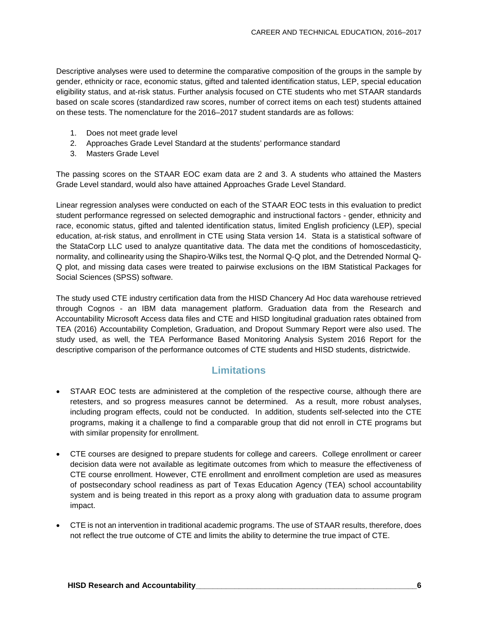Descriptive analyses were used to determine the comparative composition of the groups in the sample by gender, ethnicity or race, economic status, gifted and talented identification status, LEP, special education eligibility status, and at-risk status. Further analysis focused on CTE students who met STAAR standards based on scale scores (standardized raw scores, number of correct items on each test) students attained on these tests. The nomenclature for the 2016–2017 student standards are as follows:

- 1. Does not meet grade level
- 2. Approaches Grade Level Standard at the students' performance standard
- 3. Masters Grade Level

The passing scores on the STAAR EOC exam data are 2 and 3. A students who attained the Masters Grade Level standard, would also have attained Approaches Grade Level Standard.

Linear regression analyses were conducted on each of the STAAR EOC tests in this evaluation to predict student performance regressed on selected demographic and instructional factors - gender, ethnicity and race, economic status, gifted and talented identification status, limited English proficiency (LEP), special education, at-risk status, and enrollment in CTE using Stata version 14. Stata is a statistical software of the StataCorp LLC used to analyze quantitative data. The data met the conditions of homoscedasticity, normality, and collinearity using the Shapiro-Wilks test, the Normal Q-Q plot, and the Detrended Normal Q-Q plot, and missing data cases were treated to pairwise exclusions on the IBM Statistical Packages for Social Sciences (SPSS) software.

The study used CTE industry certification data from the HISD Chancery Ad Hoc data warehouse retrieved through Cognos - an IBM data management platform. Graduation data from the Research and Accountability Microsoft Access data files and CTE and HISD longitudinal graduation rates obtained from TEA (2016) Accountability Completion, Graduation, and Dropout Summary Report were also used. The study used, as well, the TEA Performance Based Monitoring Analysis System 2016 Report for the descriptive comparison of the performance outcomes of CTE students and HISD students, districtwide.

## **Limitations**

- STAAR EOC tests are administered at the completion of the respective course, although there are retesters, and so progress measures cannot be determined. As a result, more robust analyses, including program effects, could not be conducted. In addition, students self-selected into the CTE programs, making it a challenge to find a comparable group that did not enroll in CTE programs but with similar propensity for enrollment.
- CTE courses are designed to prepare students for college and careers. College enrollment or career decision data were not available as legitimate outcomes from which to measure the effectiveness of CTE course enrollment. However, CTE enrollment and enrollment completion are used as measures of postsecondary school readiness as part of Texas Education Agency (TEA) school accountability system and is being treated in this report as a proxy along with graduation data to assume program impact.
- CTE is not an intervention in traditional academic programs. The use of STAAR results, therefore, does not reflect the true outcome of CTE and limits the ability to determine the true impact of CTE.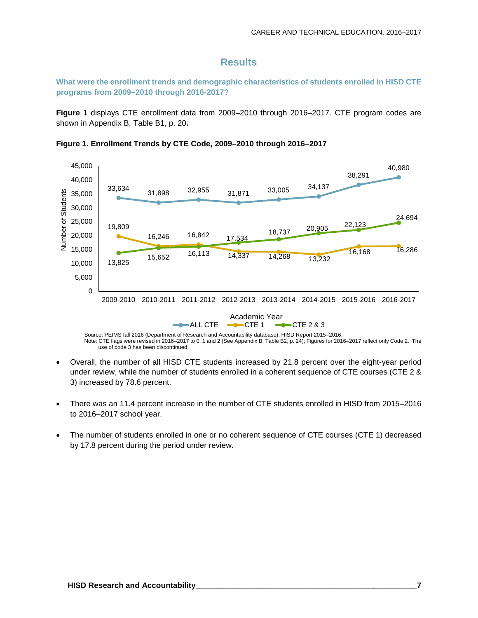#### **Results**

**What were the enrollment trends and demographic characteristics of students enrolled in HISD CTE programs from 2009–2010 through 2016-2017?**

**Figure 1** displays CTE enrollment data from 2009–2010 through 2016–2017. CTE program codes are shown in Appendix B, Table B1, p. 20**.**





Source: PEIMS fall 2016 (Department of Research and Accountability database); HISD Report 2015–2016. Note: CTE flags were revised in 2016–2017 to 0, 1 and 2 (See Appendix B, Table B2, p. 24); Figures for 2016–2017 reflect only Code 2. The use of code 3 has been discontinued.

- Overall, the number of all HISD CTE students increased by 21.8 percent over the eight-year period under review, while the number of students enrolled in a coherent sequence of CTE courses (CTE 2 & 3) increased by 78.6 percent.
- There was an 11.4 percent increase in the number of CTE students enrolled in HISD from 2015–2016 to 2016–2017 school year.
- The number of students enrolled in one or no coherent sequence of CTE courses (CTE 1) decreased by 17.8 percent during the period under review.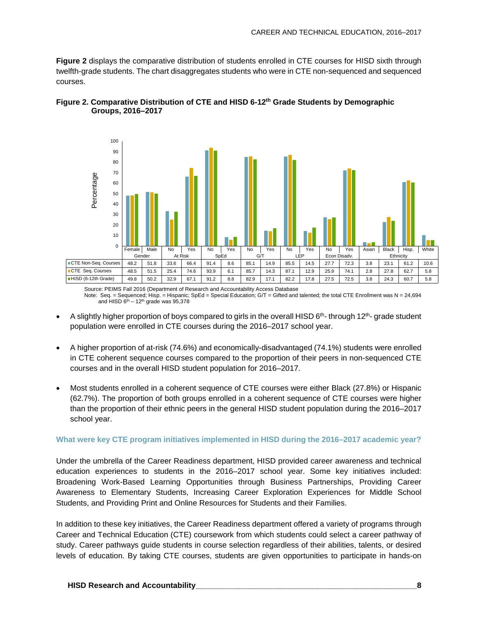**Figure 2** displays the comparative distribution of students enrolled in CTE courses for HISD sixth through twelfth-grade students. The chart disaggregates students who were in CTE non-sequenced and sequenced courses.



#### **Figure 2. Comparative Distribution of CTE and HISD 6-12th Grade Students by Demographic Groups, 2016–2017**

Source: PEIMS Fall 2016 (Department of Research and Accountability Access Database Note: Seq. = Sequenced; Hisp. = Hispanic; SpEd = Special Education; G/T = Gifted and talented; the total CTE Enrollment was N = 24,694 and HISD  $6^{th}$  – 12<sup>th</sup> grade was 95,378

- A slightly higher proportion of boys compared to girls in the overall HISD 6<sup>th</sup>- through 12<sup>th</sup>- grade student population were enrolled in CTE courses during the 2016–2017 school year.
- A higher proportion of at-risk (74.6%) and economically-disadvantaged (74.1%) students were enrolled in CTE coherent sequence courses compared to the proportion of their peers in non-sequenced CTE courses and in the overall HISD student population for 2016–2017.
- Most students enrolled in a coherent sequence of CTE courses were either Black (27.8%) or Hispanic (62.7%). The proportion of both groups enrolled in a coherent sequence of CTE courses were higher than the proportion of their ethnic peers in the general HISD student population during the 2016–2017 school year.

#### **What were key CTE program initiatives implemented in HISD during the 2016–2017 academic year?**

Under the umbrella of the Career Readiness department, HISD provided career awareness and technical education experiences to students in the 2016–2017 school year. Some key initiatives included: Broadening Work-Based Learning Opportunities through Business Partnerships, Providing Career Awareness to Elementary Students, Increasing Career Exploration Experiences for Middle School Students, and Providing Print and Online Resources for Students and their Families.

In addition to these key initiatives, the Career Readiness department offered a variety of programs through Career and Technical Education (CTE) coursework from which students could select a career pathway of study. Career pathways guide students in course selection regardless of their abilities, talents, or desired levels of education. By taking CTE courses, students are given opportunities to participate in hands-on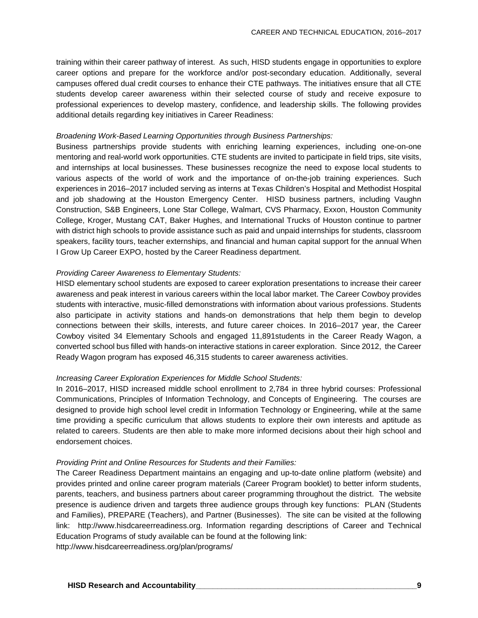training within their career pathway of interest. As such, HISD students engage in opportunities to explore career options and prepare for the workforce and/or post-secondary education. Additionally, several campuses offered dual credit courses to enhance their CTE pathways. The initiatives ensure that all CTE students develop career awareness within their selected course of study and receive exposure to professional experiences to develop mastery, confidence, and leadership skills. The following provides additional details regarding key initiatives in Career Readiness:

#### *Broadening Work-Based Learning Opportunities through Business Partnerships:*

Business partnerships provide students with enriching learning experiences, including one-on-one mentoring and real-world work opportunities. CTE students are invited to participate in field trips, site visits, and internships at local businesses. These businesses recognize the need to expose local students to various aspects of the world of work and the importance of on-the-job training experiences. Such experiences in 2016–2017 included serving as interns at Texas Children's Hospital and Methodist Hospital and job shadowing at the Houston Emergency Center. HISD business partners, including Vaughn Construction, S&B Engineers, Lone Star College, Walmart, CVS Pharmacy, Exxon, Houston Community College, Kroger, Mustang CAT, Baker Hughes, and International Trucks of Houston continue to partner with district high schools to provide assistance such as paid and unpaid internships for students, classroom speakers, facility tours, teacher externships, and financial and human capital support for the annual When I Grow Up Career EXPO, hosted by the Career Readiness department.

#### *Providing Career Awareness to Elementary Students:*

HISD elementary school students are exposed to career exploration presentations to increase their career awareness and peak interest in various careers within the local labor market. The Career Cowboy provides students with interactive, music-filled demonstrations with information about various professions. Students also participate in activity stations and hands-on demonstrations that help them begin to develop connections between their skills, interests, and future career choices. In 2016–2017 year, the Career Cowboy visited 34 Elementary Schools and engaged 11,891students in the Career Ready Wagon, a converted school bus filled with hands-on interactive stations in career exploration. Since 2012, the Career Ready Wagon program has exposed 46,315 students to career awareness activities.

#### *Increasing Career Exploration Experiences for Middle School Students:*

In 2016–2017, HISD increased middle school enrollment to 2,784 in three hybrid courses: Professional Communications, Principles of Information Technology, and Concepts of Engineering. The courses are designed to provide high school level credit in Information Technology or Engineering, while at the same time providing a specific curriculum that allows students to explore their own interests and aptitude as related to careers. Students are then able to make more informed decisions about their high school and endorsement choices.

#### *Providing Print and Online Resources for Students and their Families:*

The Career Readiness Department maintains an engaging and up-to-date online platform (website) and provides printed and online career program materials (Career Program booklet) to better inform students, parents, teachers, and business partners about career programming throughout the district. The website presence is audience driven and targets three audience groups through key functions: PLAN (Students and Families), PREPARE (Teachers), and Partner (Businesses). The site can be visited at the following link: http://www.hisdcareerreadiness.org. Information regarding descriptions of Career and Technical Education Programs of study available can be found at the following link:

http://www.hisdcareerreadiness.org/plan/programs/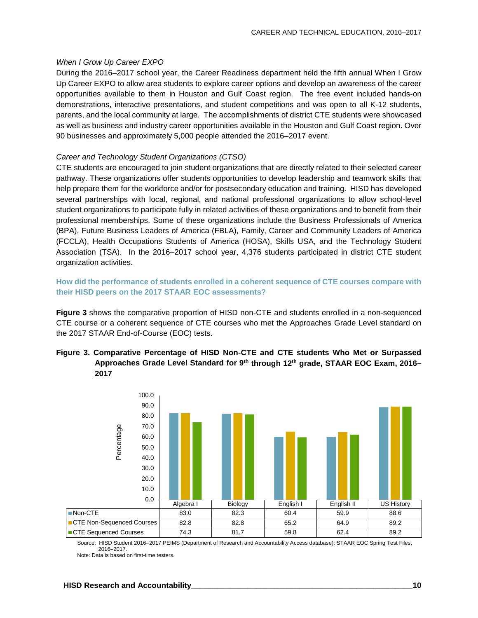#### *When I Grow Up Career EXPO*

During the 2016–2017 school year, the Career Readiness department held the fifth annual When I Grow Up Career EXPO to allow area students to explore career options and develop an awareness of the career opportunities available to them in Houston and Gulf Coast region. The free event included hands-on demonstrations, interactive presentations, and student competitions and was open to all K-12 students, parents, and the local community at large. The accomplishments of district CTE students were showcased as well as business and industry career opportunities available in the Houston and Gulf Coast region. Over 90 businesses and approximately 5,000 people attended the 2016–2017 event.

#### *Career and Technology Student Organizations (CTSO)*

CTE students are encouraged to join student organizations that are directly related to their selected career pathway. These organizations offer students opportunities to develop leadership and teamwork skills that help prepare them for the workforce and/or for postsecondary education and training. HISD has developed several partnerships with local, regional, and national professional organizations to allow school-level student organizations to participate fully in related activities of these organizations and to benefit from their professional memberships. Some of these organizations include the Business Professionals of America (BPA), Future Business Leaders of America (FBLA), Family, Career and Community Leaders of America (FCCLA), Health Occupations Students of America (HOSA), Skills USA, and the Technology Student Association (TSA). In the 2016–2017 school year, 4,376 students participated in district CTE student organization activities.

#### **How did the performance of students enrolled in a coherent sequence of CTE courses compare with their HISD peers on the 2017 STAAR EOC assessments?**

**Figure 3** shows the comparative proportion of HISD non-CTE and students enrolled in a non-sequenced CTE course or a coherent sequence of CTE courses who met the Approaches Grade Level standard on the 2017 STAAR End-of-Course (EOC) tests.

#### **Figure 3. Comparative Percentage of HISD Non-CTE and CTE students Who Met or Surpassed Approaches Grade Level Standard for 9th through 12th grade, STAAR EOC Exam, 2016– 2017**



Source: HISD Student 2016–2017 PEIMS (Department of Research and Accountability Access database): STAAR EOC Spring Test Files, 2016–2017. Note: Data is based on first-time testers.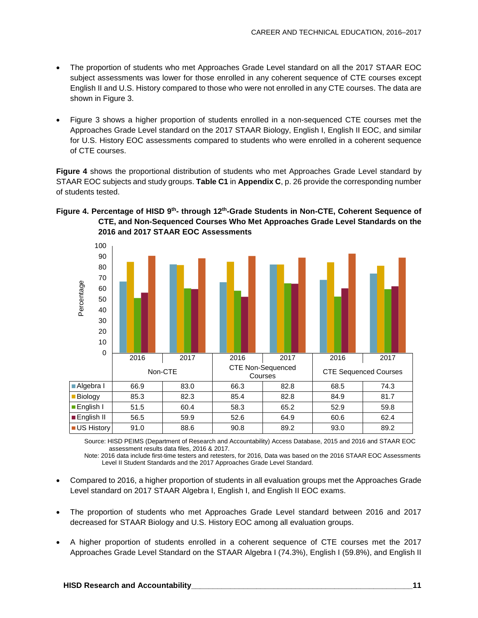- The proportion of students who met Approaches Grade Level standard on all the 2017 STAAR EOC subject assessments was lower for those enrolled in any coherent sequence of CTE courses except English II and U.S. History compared to those who were not enrolled in any CTE courses. The data are shown in Figure 3.
- Figure 3 shows a higher proportion of students enrolled in a non-sequenced CTE courses met the Approaches Grade Level standard on the 2017 STAAR Biology, English I, English II EOC, and similar for U.S. History EOC assessments compared to students who were enrolled in a coherent sequence of CTE courses.

**Figure 4** shows the proportional distribution of students who met Approaches Grade Level standard by STAAR EOC subjects and study groups. **Table C1** in **Appendix C**, p. 26 provide the corresponding number of students tested.



#### **Figure 4. Percentage of HISD 9th- through 12th-Grade Students in Non-CTE, Coherent Sequence of CTE, and Non-Sequenced Courses Who Met Approaches Grade Level Standards on the 2016 and 2017 STAAR EOC Assessments**

Source: HISD PEIMS (Department of Research and Accountability) Access Database, 2015 and 2016 and STAAR EOC assessment results data files, 2016 & 2017.

Note: 2016 data include first-time testers and retesters, for 2016, Data was based on the 2016 STAAR EOC Assessments Level II Student Standards and the 2017 Approaches Grade Level Standard.

- Compared to 2016, a higher proportion of students in all evaluation groups met the Approaches Grade Level standard on 2017 STAAR Algebra I, English I, and English II EOC exams.
- The proportion of students who met Approaches Grade Level standard between 2016 and 2017 decreased for STAAR Biology and U.S. History EOC among all evaluation groups.
- A higher proportion of students enrolled in a coherent sequence of CTE courses met the 2017 Approaches Grade Level Standard on the STAAR Algebra I (74.3%), English I (59.8%), and English II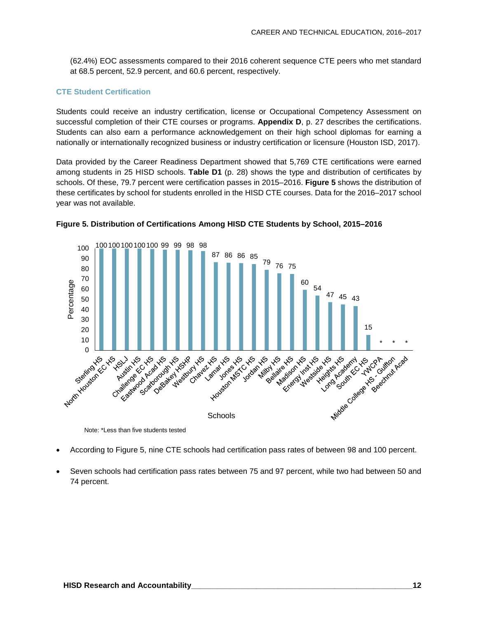(62.4%) EOC assessments compared to their 2016 coherent sequence CTE peers who met standard at 68.5 percent, 52.9 percent, and 60.6 percent, respectively.

#### **CTE Student Certification**

Students could receive an industry certification, license or Occupational Competency Assessment on successful completion of their CTE courses or programs. **Appendix D**, p. 27 describes the certifications. Students can also earn a performance acknowledgement on their high school diplomas for earning a nationally or internationally recognized business or industry certification or licensure (Houston ISD, 2017).

Data provided by the Career Readiness Department showed that 5,769 CTE certifications were earned among students in 25 HISD schools. **Table D1** (p. 28) shows the type and distribution of certificates by schools. Of these, 79.7 percent were certification passes in 2015–2016. **Figure 5** shows the distribution of these certificates by school for students enrolled in the HISD CTE courses. Data for the 2016–2017 school year was not available.





Note: \*Less than five students tested

- According to Figure 5, nine CTE schools had certification pass rates of between 98 and 100 percent.
- Seven schools had certification pass rates between 75 and 97 percent, while two had between 50 and 74 percent.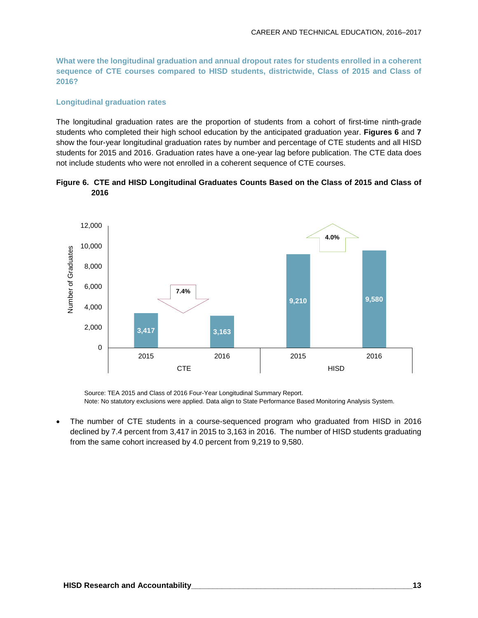**What were the longitudinal graduation and annual dropout rates for students enrolled in a coherent sequence of CTE courses compared to HISD students, districtwide, Class of 2015 and Class of 2016?**

#### **Longitudinal graduation rates**

The longitudinal graduation rates are the proportion of students from a cohort of first-time ninth-grade students who completed their high school education by the anticipated graduation year. **Figures 6** and **7** show the four-year longitudinal graduation rates by number and percentage of CTE students and all HISD students for 2015 and 2016. Graduation rates have a one-year lag before publication. The CTE data does not include students who were not enrolled in a coherent sequence of CTE courses.





Source: TEA 2015 and Class of 2016 Four-Year Longitudinal Summary Report. Note: No statutory exclusions were applied. Data align to State Performance Based Monitoring Analysis System.

• The number of CTE students in a course-sequenced program who graduated from HISD in 2016 declined by 7.4 percent from 3,417 in 2015 to 3,163 in 2016. The number of HISD students graduating from the same cohort increased by 4.0 percent from 9,219 to 9,580.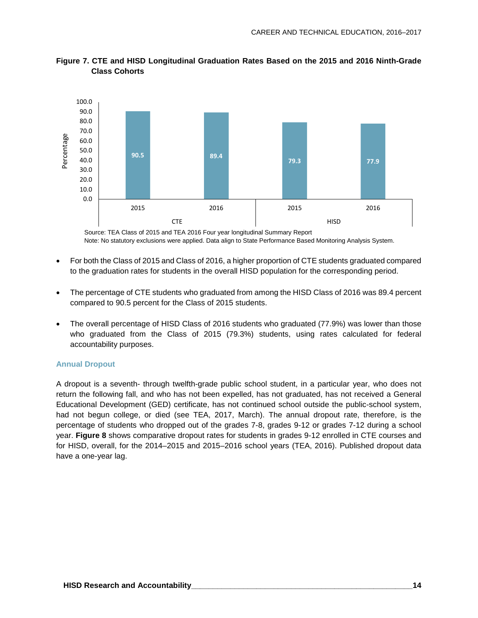

**Figure 7. CTE and HISD Longitudinal Graduation Rates Based on the 2015 and 2016 Ninth-Grade Class Cohorts**

Source: TEA Class of 2015 and TEA 2016 Four year longitudinal Summary Report Note: No statutory exclusions were applied. Data align to State Performance Based Monitoring Analysis System.

- For both the Class of 2015 and Class of 2016, a higher proportion of CTE students graduated compared to the graduation rates for students in the overall HISD population for the corresponding period.
- The percentage of CTE students who graduated from among the HISD Class of 2016 was 89.4 percent compared to 90.5 percent for the Class of 2015 students.
- The overall percentage of HISD Class of 2016 students who graduated (77.9%) was lower than those who graduated from the Class of 2015 (79.3%) students, using rates calculated for federal accountability purposes.

#### **Annual Dropout**

A dropout is a seventh- through twelfth-grade public school student, in a particular year, who does not return the following fall, and who has not been expelled, has not graduated, has not received a General Educational Development (GED) certificate, has not continued school outside the public-school system, had not begun college, or died (see TEA, 2017, March). The annual dropout rate, therefore, is the percentage of students who dropped out of the grades 7-8, grades 9-12 or grades 7-12 during a school year. **Figure 8** shows comparative dropout rates for students in grades 9-12 enrolled in CTE courses and for HISD, overall, for the 2014–2015 and 2015–2016 school years (TEA, 2016). Published dropout data have a one-year lag.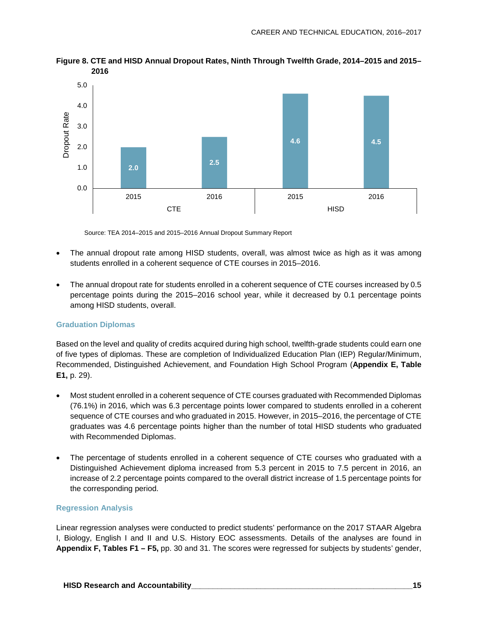

**Figure 8. CTE and HISD Annual Dropout Rates, Ninth Through Twelfth Grade, 2014–2015 and 2015– 2016**

Source: TEA 2014–2015 and 2015–2016 Annual Dropout Summary Report

- The annual dropout rate among HISD students, overall, was almost twice as high as it was among students enrolled in a coherent sequence of CTE courses in 2015–2016.
- The annual dropout rate for students enrolled in a coherent sequence of CTE courses increased by 0.5 percentage points during the 2015–2016 school year, while it decreased by 0.1 percentage points among HISD students, overall.

#### **Graduation Diplomas**

Based on the level and quality of credits acquired during high school, twelfth-grade students could earn one of five types of diplomas. These are completion of Individualized Education Plan (IEP) Regular/Minimum, Recommended, Distinguished Achievement, and Foundation High School Program (**Appendix E, Table E1,** p. 29).

- Most student enrolled in a coherent sequence of CTE courses graduated with Recommended Diplomas (76.1%) in 2016, which was 6.3 percentage points lower compared to students enrolled in a coherent sequence of CTE courses and who graduated in 2015. However, in 2015–2016, the percentage of CTE graduates was 4.6 percentage points higher than the number of total HISD students who graduated with Recommended Diplomas.
- The percentage of students enrolled in a coherent sequence of CTE courses who graduated with a Distinguished Achievement diploma increased from 5.3 percent in 2015 to 7.5 percent in 2016, an increase of 2.2 percentage points compared to the overall district increase of 1.5 percentage points for the corresponding period.

#### **Regression Analysis**

Linear regression analyses were conducted to predict students' performance on the 2017 STAAR Algebra I, Biology, English I and II and U.S. History EOC assessments. Details of the analyses are found in **Appendix F, Tables F1 – F5,** pp. 30 and 31. The scores were regressed for subjects by students' gender,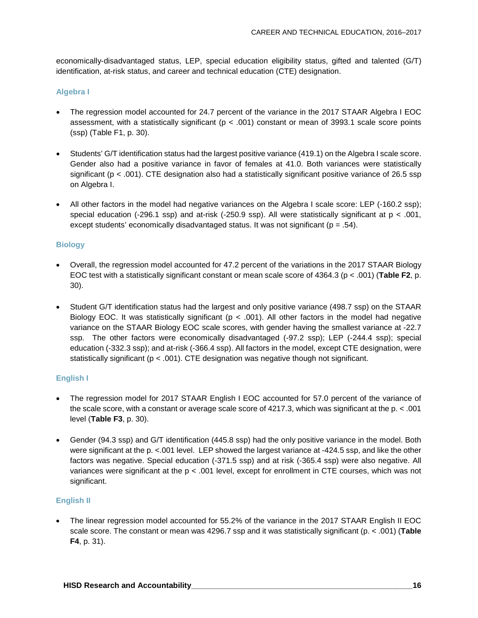economically-disadvantaged status, LEP, special education eligibility status, gifted and talented (G/T) identification, at-risk status, and career and technical education (CTE) designation.

#### **Algebra I**

- The regression model accounted for 24.7 percent of the variance in the 2017 STAAR Algebra I EOC assessment, with a statistically significant ( $p < .001$ ) constant or mean of 3993.1 scale score points (ssp) (Table F1, p. 30).
- Students' G/T identification status had the largest positive variance (419.1) on the Algebra I scale score. Gender also had a positive variance in favor of females at 41.0. Both variances were statistically significant ( $p < .001$ ). CTE designation also had a statistically significant positive variance of 26.5 ssp on Algebra I.
- All other factors in the model had negative variances on the Algebra I scale score: LEP (-160.2 ssp); special education (-296.1 ssp) and at-risk (-250.9 ssp). All were statistically significant at p < .001, except students' economically disadvantaged status. It was not significant ( $p = .54$ ).

#### **Biology**

- Overall, the regression model accounted for 47.2 percent of the variations in the 2017 STAAR Biology EOC test with a statistically significant constant or mean scale score of 4364.3 (p < .001) (**Table F2**, p. 30).
- Student G/T identification status had the largest and only positive variance (498.7 ssp) on the STAAR Biology EOC. It was statistically significant ( $p < .001$ ). All other factors in the model had negative variance on the STAAR Biology EOC scale scores, with gender having the smallest variance at -22.7 ssp. The other factors were economically disadvantaged (-97.2 ssp); LEP (-244.4 ssp); special education (-332.3 ssp); and at-risk (-366.4 ssp). All factors in the model, except CTE designation, were statistically significant (p < .001). CTE designation was negative though not significant.

#### **English I**

- The regression model for 2017 STAAR English I EOC accounted for 57.0 percent of the variance of the scale score, with a constant or average scale score of 4217.3, which was significant at the p. < .001 level (**Table F3**, p. 30).
- Gender (94.3 ssp) and G/T identification (445.8 ssp) had the only positive variance in the model. Both were significant at the p. <. 001 level. LEP showed the largest variance at -424.5 ssp, and like the other factors was negative. Special education (-371.5 ssp) and at risk (-365.4 ssp) were also negative. All variances were significant at the p < .001 level, except for enrollment in CTE courses, which was not significant.

#### **English II**

• The linear regression model accounted for 55.2% of the variance in the 2017 STAAR English II EOC scale score. The constant or mean was 4296.7 ssp and it was statistically significant (p. < .001) (**Table F4**, p. 31).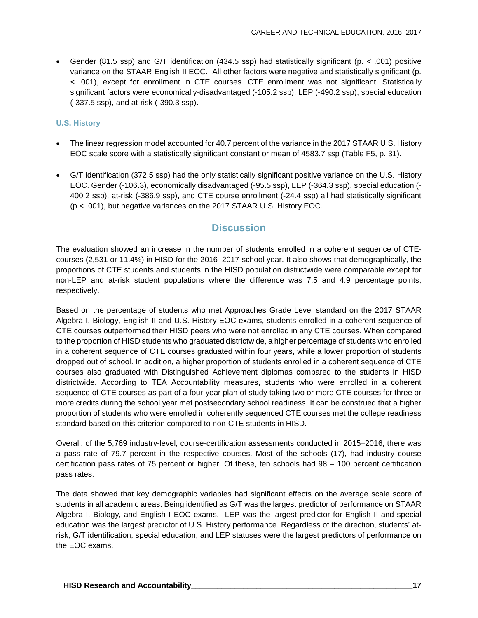• Gender (81.5 ssp) and G/T identification (434.5 ssp) had statistically significant (p. < .001) positive variance on the STAAR English II EOC. All other factors were negative and statistically significant (p. < .001), except for enrollment in CTE courses. CTE enrollment was not significant. Statistically significant factors were economically-disadvantaged (-105.2 ssp); LEP (-490.2 ssp), special education (-337.5 ssp), and at-risk (-390.3 ssp).

#### **U.S. History**

- The linear regression model accounted for 40.7 percent of the variance in the 2017 STAAR U.S. History EOC scale score with a statistically significant constant or mean of 4583.7 ssp (Table F5, p. 31).
- G/T identification (372.5 ssp) had the only statistically significant positive variance on the U.S. History EOC. Gender (-106.3), economically disadvantaged (-95.5 ssp), LEP (-364.3 ssp), special education (- 400.2 ssp), at-risk (-386.9 ssp), and CTE course enrollment (-24.4 ssp) all had statistically significant (p.< .001), but negative variances on the 2017 STAAR U.S. History EOC.

## **Discussion**

The evaluation showed an increase in the number of students enrolled in a coherent sequence of CTEcourses (2,531 or 11.4%) in HISD for the 2016–2017 school year. It also shows that demographically, the proportions of CTE students and students in the HISD population districtwide were comparable except for non-LEP and at-risk student populations where the difference was 7.5 and 4.9 percentage points, respectively.

Based on the percentage of students who met Approaches Grade Level standard on the 2017 STAAR Algebra I, Biology, English II and U.S. History EOC exams, students enrolled in a coherent sequence of CTE courses outperformed their HISD peers who were not enrolled in any CTE courses. When compared to the proportion of HISD students who graduated districtwide, a higher percentage of students who enrolled in a coherent sequence of CTE courses graduated within four years, while a lower proportion of students dropped out of school. In addition, a higher proportion of students enrolled in a coherent sequence of CTE courses also graduated with Distinguished Achievement diplomas compared to the students in HISD districtwide. According to TEA Accountability measures, students who were enrolled in a coherent sequence of CTE courses as part of a four-year plan of study taking two or more CTE courses for three or more credits during the school year met postsecondary school readiness. It can be construed that a higher proportion of students who were enrolled in coherently sequenced CTE courses met the college readiness standard based on this criterion compared to non-CTE students in HISD.

Overall, of the 5,769 industry-level, course-certification assessments conducted in 2015–2016, there was a pass rate of 79.7 percent in the respective courses. Most of the schools (17), had industry course certification pass rates of 75 percent or higher. Of these, ten schools had 98 – 100 percent certification pass rates.

The data showed that key demographic variables had significant effects on the average scale score of students in all academic areas. Being identified as G/T was the largest predictor of performance on STAAR Algebra I, Biology, and English I EOC exams. LEP was the largest predictor for English II and special education was the largest predictor of U.S. History performance. Regardless of the direction, students' atrisk, G/T identification, special education, and LEP statuses were the largest predictors of performance on the EOC exams.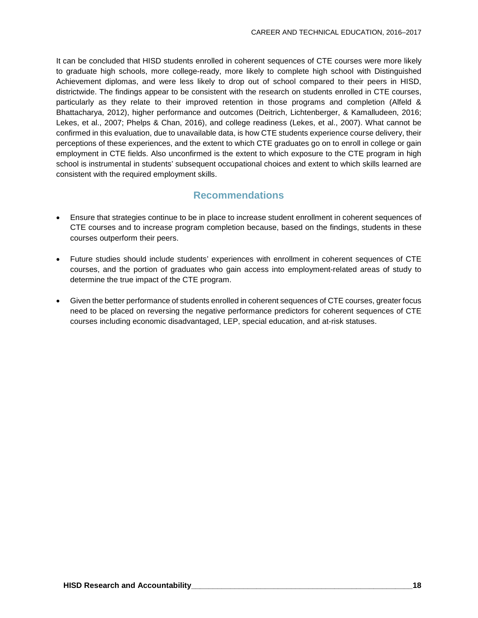It can be concluded that HISD students enrolled in coherent sequences of CTE courses were more likely to graduate high schools, more college-ready, more likely to complete high school with Distinguished Achievement diplomas, and were less likely to drop out of school compared to their peers in HISD, districtwide. The findings appear to be consistent with the research on students enrolled in CTE courses, particularly as they relate to their improved retention in those programs and completion (Alfeld & Bhattacharya, 2012), higher performance and outcomes (Deitrich, Lichtenberger, & Kamalludeen, 2016; Lekes, et al., 2007; Phelps & Chan, 2016), and college readiness (Lekes, et al., 2007). What cannot be confirmed in this evaluation, due to unavailable data, is how CTE students experience course delivery, their perceptions of these experiences, and the extent to which CTE graduates go on to enroll in college or gain employment in CTE fields. Also unconfirmed is the extent to which exposure to the CTE program in high school is instrumental in students' subsequent occupational choices and extent to which skills learned are consistent with the required employment skills.

### **Recommendations**

- Ensure that strategies continue to be in place to increase student enrollment in coherent sequences of CTE courses and to increase program completion because, based on the findings, students in these courses outperform their peers.
- Future studies should include students' experiences with enrollment in coherent sequences of CTE courses, and the portion of graduates who gain access into employment-related areas of study to determine the true impact of the CTE program.
- Given the better performance of students enrolled in coherent sequences of CTE courses, greater focus need to be placed on reversing the negative performance predictors for coherent sequences of CTE courses including economic disadvantaged, LEP, special education, and at-risk statuses.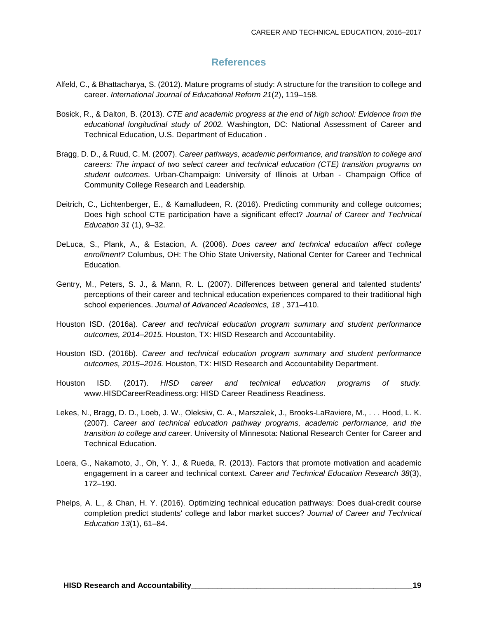#### **References**

- Alfeld, C., & Bhattacharya, S. (2012). Mature programs of study: A structure for the transition to college and career. *International Journal of Educational Reform 21*(2), 119–158.
- Bosick, R., & Dalton, B. (2013). *CTE and academic progress at the end of high school: Evidence from the educational longitudinal study of 2002.* Washington, DC: National Assessment of Career and Technical Education, U.S. Department of Education .
- Bragg, D. D., & Ruud, C. M. (2007). *Career pathways, academic performance, and transition to college and careers: The impact of two select career and technical education (CTE) transition programs on student outcomes.* Urban-Champaign: University of Illinois at Urban - Champaign Office of Community College Research and Leadership.
- Deitrich, C., Lichtenberger, E., & Kamalludeen, R. (2016). Predicting community and college outcomes; Does high school CTE participation have a significant effect? *Journal of Career and Technical Education 31* (1), 9–32.
- DeLuca, S., Plank, A., & Estacion, A. (2006). *Does career and technical education affect college enrollment?* Columbus, OH: The Ohio State University, National Center for Career and Technical Education.
- Gentry, M., Peters, S. J., & Mann, R. L. (2007). Differences between general and talented students' perceptions of their career and technical education experiences compared to their traditional high school experiences. *Journal of Advanced Academics, 18* , 371–410.
- Houston ISD. (2016a). *Career and technical education program summary and student performance outcomes, 2014–2015.* Houston, TX: HISD Research and Accountability.
- Houston ISD. (2016b). *Career and technical education program summary and student performance outcomes, 2015–2016.* Houston, TX: HISD Research and Accountability Department.
- Houston ISD. (2017). *HISD career and technical education programs of study.* www.HISDCareerReadiness.org: HISD Career Readiness Readiness.
- Lekes, N., Bragg, D. D., Loeb, J. W., Oleksiw, C. A., Marszalek, J., Brooks-LaRaviere, M., . . . Hood, L. K. (2007). *Career and technical education pathway programs, academic performance, and the transition to college and career.* University of Minnesota: National Research Center for Career and Technical Education.
- Loera, G., Nakamoto, J., Oh, Y. J., & Rueda, R. (2013). Factors that promote motivation and academic engagement in a career and technical context. *Career and Technical Education Research 38*(3), 172–190.
- Phelps, A. L., & Chan, H. Y. (2016). Optimizing technical education pathways: Does dual-credit course completion predict students' college and labor market succes? *Journal of Career and Technical Education 13*(1), 61–84.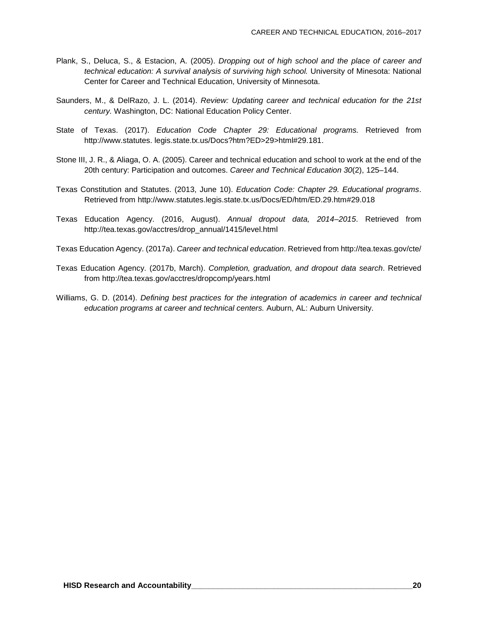- Plank, S., Deluca, S., & Estacion, A. (2005). *Dropping out of high school and the place of career and technical education: A survival analysis of surviving high school.* University of Minesota: National Center for Career and Technical Education, University of Minnesota.
- Saunders, M., & DelRazo, J. L. (2014). *Review: Updating career and technical education for the 21st century.* Washington, DC: National Education Policy Center.
- State of Texas. (2017). *Education Code Chapter 29: Educational programs.* Retrieved from http://www.statutes. legis.state.tx.us/Docs?htm?ED>29>html#29.181.
- Stone III, J. R., & Aliaga, O. A. (2005). Career and technical education and school to work at the end of the 20th century: Participation and outcomes. *Career and Technical Education 30*(2), 125–144.
- Texas Constitution and Statutes. (2013, June 10). *Education Code: Chapter 29. Educational programs*. Retrieved from http://www.statutes.legis.state.tx.us/Docs/ED/htm/ED.29.htm#29.018
- Texas Education Agency. (2016, August). *Annual dropout data, 2014–2015*. Retrieved from http://tea.texas.gov/acctres/drop\_annual/1415/level.html
- Texas Education Agency. (2017a). *Career and technical education*. Retrieved from http://tea.texas.gov/cte/
- Texas Education Agency. (2017b, March). *Completion, graduation, and dropout data search*. Retrieved from http://tea.texas.gov/acctres/dropcomp/years.html
- Williams, G. D. (2014). *Defining best practices for the integration of academics in career and technical education programs at career and technical centers.* Auburn, AL: Auburn University.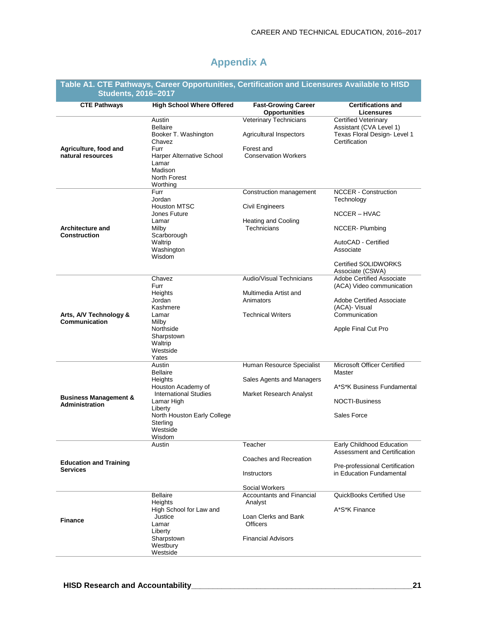## **Appendix A**

| Table A1. CTE Pathways, Career Opportunities, Certification and Licensures Available to HISD<br><b>Students, 2016-2017</b> |                                                                                                                                                                                      |                                                                                                                     |                                                                                                                                                                    |  |  |
|----------------------------------------------------------------------------------------------------------------------------|--------------------------------------------------------------------------------------------------------------------------------------------------------------------------------------|---------------------------------------------------------------------------------------------------------------------|--------------------------------------------------------------------------------------------------------------------------------------------------------------------|--|--|
| <b>CTE Pathways</b>                                                                                                        | <b>High School Where Offered</b>                                                                                                                                                     | <b>Fast-Growing Career</b><br><b>Opportunities</b>                                                                  | <b>Certifications and</b><br><b>Licensures</b>                                                                                                                     |  |  |
| Agriculture, food and<br>natural resources                                                                                 | Austin<br><b>Bellaire</b><br>Booker T. Washington<br>Chavez<br>Furr<br>Harper Alternative School<br>Lamar<br>Madison<br>North Forest<br>Worthing                                     | Veterinary Technicians<br>Agricultural Inspectors<br>Forest and<br><b>Conservation Workers</b>                      | <b>Certified Veterinary</b><br>Assistant (CVA Level 1)<br>Texas Floral Design- Level 1<br>Certification                                                            |  |  |
| <b>Architecture and</b><br><b>Construction</b>                                                                             | Furr<br>Jordan<br><b>Houston MTSC</b><br>Jones Future<br>Lamar<br>Milby<br>Scarborough<br>Waltrip<br>Washington<br>Wisdom                                                            | Construction management<br><b>Civil Engineers</b><br><b>Heating and Cooling</b><br>Technicians                      | <b>NCCER</b> - Construction<br>Technology<br>NCCER - HVAC<br>NCCER-Plumbing<br>AutoCAD - Certified<br>Associate<br><b>Certified SOLIDWORKS</b><br>Associate (CSWA) |  |  |
| Arts, A/V Technology &<br>Communication                                                                                    | Chavez<br>Furr<br>Heights<br>Jordan<br>Kashmere<br>Lamar<br>Milby<br>Northside<br>Sharpstown<br>Waltrip<br>Westside<br>Yates                                                         | Audio/Visual Technicians<br>Multimedia Artist and<br>Animators<br><b>Technical Writers</b>                          | Adobe Certified Associate<br>(ACA) Video communication<br><b>Adobe Certified Associate</b><br>(ACA) Visual<br>Communication<br>Apple Final Cut Pro                 |  |  |
| <b>Business Management &amp;</b><br><b>Administration</b>                                                                  | Austin<br><b>Bellaire</b><br>Heights<br>Houston Academy of<br><b>International Studies</b><br>Lamar High<br>Liberty<br>North Houston Early College<br>Sterling<br>Westside<br>Wisdom | Human Resource Specialist<br>Sales Agents and Managers<br>Market Research Analyst                                   | Microsoft Officer Certified<br>Master<br>A*S*K Business Fundamental<br><b>NOCTI-Business</b><br>Sales Force                                                        |  |  |
| <b>Education and Training</b><br><b>Services</b>                                                                           | Austin                                                                                                                                                                               | Teacher<br>Coaches and Recreation<br>Instructors<br>Social Workers                                                  | Early Childhood Education<br>Assessment and Certification<br>Pre-professional Certification<br>in Education Fundamental                                            |  |  |
| <b>Finance</b>                                                                                                             | <b>Bellaire</b><br>Heights<br>High School for Law and<br>Justice<br>Lamar<br>Liberty<br>Sharpstown<br>Westbury<br>Westside                                                           | <b>Accountants and Financial</b><br>Analyst<br>Loan Clerks and Bank<br><b>Officers</b><br><b>Financial Advisors</b> | <b>QuickBooks Certified Use</b><br>A*S*K Finance                                                                                                                   |  |  |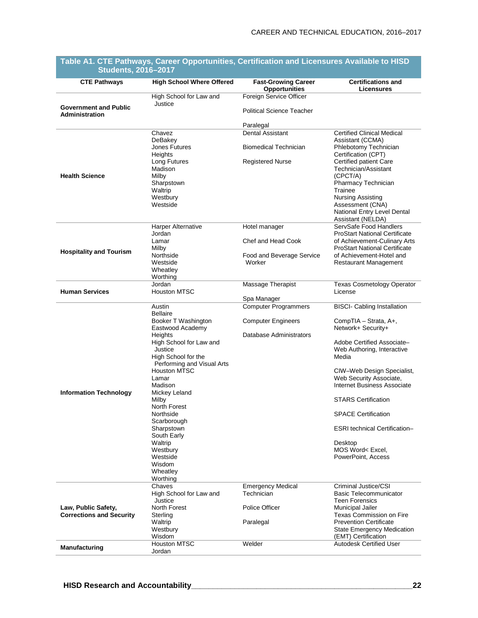| <b>CTE Pathways</b>                                    | <b>High School Where Offered</b>                  | <b>Fast-Growing Career</b><br><b>Opportunities</b> | <b>Certifications and</b><br>Licensures                               |
|--------------------------------------------------------|---------------------------------------------------|----------------------------------------------------|-----------------------------------------------------------------------|
|                                                        | High School for Law and                           | Foreign Service Officer                            |                                                                       |
| <b>Government and Public</b><br><b>Administration</b>  | Justice                                           | <b>Political Science Teacher</b>                   |                                                                       |
|                                                        |                                                   | Paralegal                                          |                                                                       |
|                                                        | Chavez                                            | Dental Assistant                                   | <b>Certified Clinical Medical</b>                                     |
|                                                        | DeBakey<br>Jones Futures                          | <b>Biomedical Technician</b>                       | Assistant (CCMA)<br>Phlebotomy Technician                             |
|                                                        | Heights<br>Long Futures<br>Madison                | <b>Registered Nurse</b>                            | Certification (CPT)<br>Certified patient Care<br>Technician/Assistant |
| <b>Health Science</b>                                  | Milby<br>Sharpstown                               |                                                    | (CPCT/A)<br>Pharmacy Technician                                       |
|                                                        | Waltrip                                           |                                                    | Trainee                                                               |
|                                                        | Westbury                                          |                                                    | <b>Nursing Assisting</b>                                              |
|                                                        | Westside                                          |                                                    | Assessment (CNA)<br>National Entry Level Dental<br>Assistant (NELDA)  |
|                                                        | Harper Alternative<br>Jordan                      | Hotel manager                                      | ServSafe Food Handlers<br><b>ProStart National Certificate</b>        |
|                                                        | Lamar<br>Milby                                    | Chef and Head Cook                                 | of Achievement-Culinary Arts<br><b>ProStart National Certificate</b>  |
| <b>Hospitality and Tourism</b>                         | Northside                                         | Food and Beverage Service                          | of Achievement-Hotel and                                              |
|                                                        | Westside<br>Wheatley                              | Worker                                             | Restaurant Management                                                 |
|                                                        | Worthing                                          |                                                    |                                                                       |
|                                                        | Jordan                                            | Massage Therapist                                  | <b>Texas Cosmetology Operator</b>                                     |
| <b>Human Services</b>                                  | <b>Houston MTSC</b>                               | Spa Manager                                        | License                                                               |
|                                                        | Austin                                            | <b>Computer Programmers</b>                        | <b>BISCI- Cabling Installation</b>                                    |
|                                                        | <b>Bellaire</b><br>Booker T Washington            | <b>Computer Engineers</b>                          | CompTIA - Strata, A+,                                                 |
|                                                        | Eastwood Academy                                  |                                                    | Network+ Security+                                                    |
|                                                        | Heights                                           | Database Administrators                            |                                                                       |
|                                                        | High School for Law and<br>Justice                |                                                    | Adobe Certified Associate-<br>Web Authoring, Interactive              |
|                                                        | High School for the                               |                                                    | Media                                                                 |
|                                                        | Performing and Visual Arts<br><b>Houston MTSC</b> |                                                    | CIW-Web Design Specialist,                                            |
|                                                        | I amar                                            |                                                    | Web Security Associate,                                               |
|                                                        | Madison                                           |                                                    | Internet Business Associate                                           |
| <b>Information Technology</b>                          | Mickey Leland<br>Milby                            |                                                    | <b>STARS Certification</b>                                            |
|                                                        | North Forest                                      |                                                    |                                                                       |
|                                                        | Northside<br>Scarborough                          |                                                    | <b>SPACE Certification</b>                                            |
|                                                        | Sharpstown                                        |                                                    | <b>ESRI</b> technical Certification-                                  |
|                                                        | South Early                                       |                                                    |                                                                       |
|                                                        | Waltrip<br>Westbury                               |                                                    | Desktop<br>MOS Word< Excel,                                           |
|                                                        | Westside                                          |                                                    | PowerPoint, Access                                                    |
|                                                        | Wisdom                                            |                                                    |                                                                       |
|                                                        | Wheatley<br>Worthing                              |                                                    |                                                                       |
|                                                        | Chaves                                            | <b>Emergency Medical</b>                           | Criminal Justice/CSI                                                  |
|                                                        | High School for Law and                           | Technician                                         | <b>Basic Telecommunicator</b>                                         |
|                                                        | Justice<br>North Forest                           | Police Officer                                     | <b>Teen Forensics</b>                                                 |
| Law, Public Safety,<br><b>Corrections and Security</b> | Sterling                                          |                                                    | Municipal Jailer<br><b>Texas Commission on Fire</b>                   |
|                                                        | Waltrip                                           | Paralegal                                          | <b>Prevention Certificate</b>                                         |
|                                                        | Westbury                                          |                                                    | <b>State Emergency Medication</b>                                     |
|                                                        | Wisdom<br><b>Houston MTSC</b>                     | Welder                                             | (EMT) Certification<br><b>Autodesk Certified User</b>                 |
| Manufacturing                                          | Jordan                                            |                                                    |                                                                       |

#### **Table A1. CTE Pathways, Career Opportunities, Certification and Licensures Available to HISD Students, 2016–2017**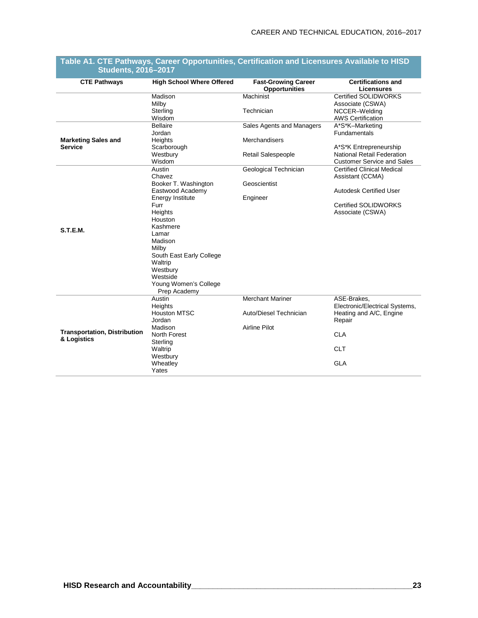| <b>CTE Pathways</b><br><b>High School Where Offered</b><br><b>Certifications and</b><br><b>Fast-Growing Career</b><br><b>Opportunities</b><br><b>Licensures</b><br>Machinist<br>Madison<br><b>Certified SOLIDWORKS</b><br>Milby<br>Associate (CSWA)<br>Technician<br>Sterling<br>NCCER-Welding<br><b>AWS Certification</b><br>Wisdom<br><b>Bellaire</b><br>Sales Agents and Managers<br>A*S*K-Marketing |
|---------------------------------------------------------------------------------------------------------------------------------------------------------------------------------------------------------------------------------------------------------------------------------------------------------------------------------------------------------------------------------------------------------|
|                                                                                                                                                                                                                                                                                                                                                                                                         |
|                                                                                                                                                                                                                                                                                                                                                                                                         |
|                                                                                                                                                                                                                                                                                                                                                                                                         |
|                                                                                                                                                                                                                                                                                                                                                                                                         |
|                                                                                                                                                                                                                                                                                                                                                                                                         |
|                                                                                                                                                                                                                                                                                                                                                                                                         |
| <b>Fundamentals</b><br>Jordan                                                                                                                                                                                                                                                                                                                                                                           |
| <b>Merchandisers</b><br><b>Marketing Sales and</b><br>Heights                                                                                                                                                                                                                                                                                                                                           |
| <b>Service</b><br>Scarborough<br>A*S*K Entrepreneurship                                                                                                                                                                                                                                                                                                                                                 |
| <b>National Retail Federation</b><br>Westbury<br><b>Retail Salespeople</b>                                                                                                                                                                                                                                                                                                                              |
| <b>Customer Service and Sales</b><br>Wisdom                                                                                                                                                                                                                                                                                                                                                             |
| Geological Technician<br><b>Certified Clinical Medical</b><br>Austin                                                                                                                                                                                                                                                                                                                                    |
| Chavez<br>Assistant (CCMA)                                                                                                                                                                                                                                                                                                                                                                              |
| Geoscientist<br>Booker T. Washington                                                                                                                                                                                                                                                                                                                                                                    |
| Eastwood Academy<br><b>Autodesk Certified User</b>                                                                                                                                                                                                                                                                                                                                                      |
| Energy Institute<br>Engineer                                                                                                                                                                                                                                                                                                                                                                            |
| <b>Certified SOLIDWORKS</b><br>Furr                                                                                                                                                                                                                                                                                                                                                                     |
| Associate (CSWA)<br>Heights                                                                                                                                                                                                                                                                                                                                                                             |
| Houston                                                                                                                                                                                                                                                                                                                                                                                                 |
| Kashmere<br>S.T.E.M.                                                                                                                                                                                                                                                                                                                                                                                    |
| Lamar                                                                                                                                                                                                                                                                                                                                                                                                   |
| Madison                                                                                                                                                                                                                                                                                                                                                                                                 |
| Milby                                                                                                                                                                                                                                                                                                                                                                                                   |
| South East Early College                                                                                                                                                                                                                                                                                                                                                                                |
| Waltrip                                                                                                                                                                                                                                                                                                                                                                                                 |
| Westbury                                                                                                                                                                                                                                                                                                                                                                                                |
| Westside                                                                                                                                                                                                                                                                                                                                                                                                |
| Young Women's College<br>Prep Academy                                                                                                                                                                                                                                                                                                                                                                   |
| <b>Merchant Mariner</b><br>Austin<br>ASE-Brakes,                                                                                                                                                                                                                                                                                                                                                        |
| Electronic/Electrical Systems,<br><b>Heights</b>                                                                                                                                                                                                                                                                                                                                                        |
| <b>Houston MTSC</b><br>Auto/Diesel Technician<br>Heating and A/C, Engine                                                                                                                                                                                                                                                                                                                                |
| Jordan<br>Repair                                                                                                                                                                                                                                                                                                                                                                                        |
| Madison<br><b>Airline Pilot</b>                                                                                                                                                                                                                                                                                                                                                                         |
| <b>Transportation, Distribution</b><br><b>CLA</b><br>North Forest                                                                                                                                                                                                                                                                                                                                       |
| & Logistics<br>Sterling                                                                                                                                                                                                                                                                                                                                                                                 |
| <b>CLT</b><br>Waltrip                                                                                                                                                                                                                                                                                                                                                                                   |
| Westbury                                                                                                                                                                                                                                                                                                                                                                                                |
| <b>GLA</b><br>Wheatley                                                                                                                                                                                                                                                                                                                                                                                  |
| Yates                                                                                                                                                                                                                                                                                                                                                                                                   |

#### **Table A1. CTE Pathways, Career Opportunities, Certification and Licensures Available to HISD Students, 2016–2017**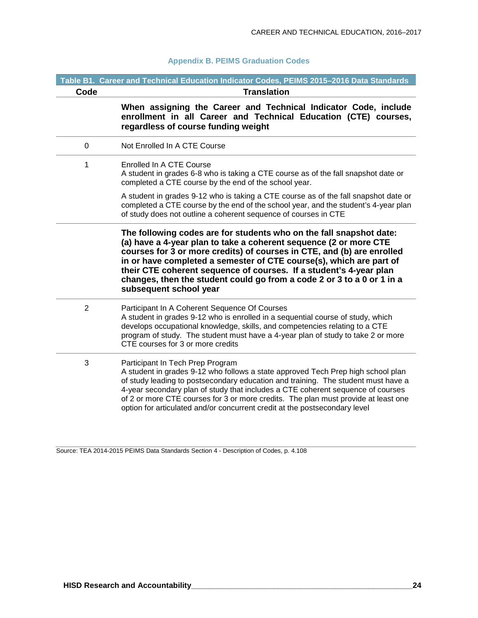#### **Appendix B. PEIMS Graduation Codes**

|                | Table B1. Career and Technical Education Indicator Codes, PEIMS 2015-2016 Data Standards                                                                                                                                                                                                                                                                                                                                                                            |
|----------------|---------------------------------------------------------------------------------------------------------------------------------------------------------------------------------------------------------------------------------------------------------------------------------------------------------------------------------------------------------------------------------------------------------------------------------------------------------------------|
| Code           | <b>Translation</b>                                                                                                                                                                                                                                                                                                                                                                                                                                                  |
|                | When assigning the Career and Technical Indicator Code, include<br>enrollment in all Career and Technical Education (CTE) courses,<br>regardless of course funding weight                                                                                                                                                                                                                                                                                           |
| $\pmb{0}$      | Not Enrolled In A CTE Course                                                                                                                                                                                                                                                                                                                                                                                                                                        |
| 1              | Enrolled In A CTE Course<br>A student in grades 6-8 who is taking a CTE course as of the fall snapshot date or<br>completed a CTE course by the end of the school year.                                                                                                                                                                                                                                                                                             |
|                | A student in grades 9-12 who is taking a CTE course as of the fall snapshot date or<br>completed a CTE course by the end of the school year, and the student's 4-year plan<br>of study does not outline a coherent sequence of courses in CTE                                                                                                                                                                                                                       |
|                | The following codes are for students who on the fall snapshot date:<br>(a) have a 4-year plan to take a coherent sequence (2 or more CTE<br>courses for 3 or more credits) of courses in CTE, and (b) are enrolled<br>in or have completed a semester of CTE course(s), which are part of<br>their CTE coherent sequence of courses. If a student's 4-year plan<br>changes, then the student could go from a code 2 or 3 to a 0 or 1 in a<br>subsequent school year |
| $\overline{2}$ | Participant In A Coherent Sequence Of Courses<br>A student in grades 9-12 who is enrolled in a sequential course of study, which<br>develops occupational knowledge, skills, and competencies relating to a CTE<br>program of study. The student must have a 4-year plan of study to take 2 or more<br>CTE courses for 3 or more credits                                                                                                                            |
| 3              | Participant In Tech Prep Program<br>A student in grades 9-12 who follows a state approved Tech Prep high school plan<br>of study leading to postsecondary education and training. The student must have a<br>4-year secondary plan of study that includes a CTE coherent sequence of courses<br>of 2 or more CTE courses for 3 or more credits. The plan must provide at least one<br>option for articulated and/or concurrent credit at the postsecondary level    |

Source: TEA 2014-2015 PEIMS Data Standards Section 4 - Description of Codes, p. 4.108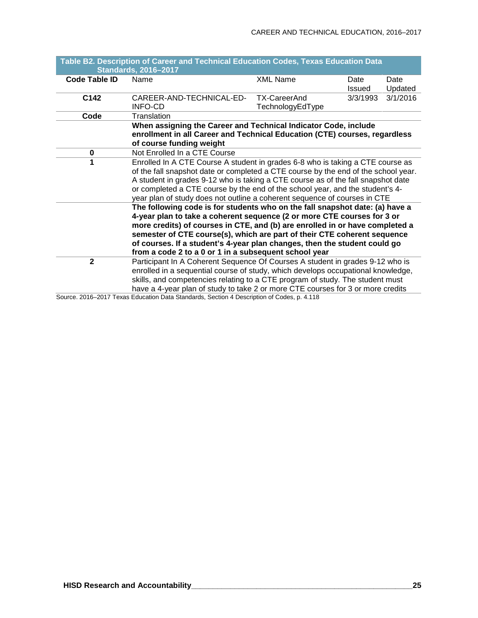|                      | Table B2. Description of Career and Technical Education Codes, Texas Education Data |                     |          |          |  |  |
|----------------------|-------------------------------------------------------------------------------------|---------------------|----------|----------|--|--|
|                      | <b>Standards, 2016-2017</b>                                                         |                     |          |          |  |  |
| <b>Code Table ID</b> | Name                                                                                | <b>XML Name</b>     | Date     | Date     |  |  |
|                      |                                                                                     |                     | Issued   | Updated  |  |  |
| C142                 | CAREER-AND-TECHNICAL-ED-                                                            | <b>TX-CareerAnd</b> | 3/3/1993 | 3/1/2016 |  |  |
|                      | <b>INFO-CD</b>                                                                      | TechnologyEdType    |          |          |  |  |
| Code                 | Translation                                                                         |                     |          |          |  |  |
|                      | When assigning the Career and Technical Indicator Code, include                     |                     |          |          |  |  |
|                      | enrollment in all Career and Technical Education (CTE) courses, regardless          |                     |          |          |  |  |
|                      | of course funding weight                                                            |                     |          |          |  |  |
| $\pmb{0}$            | Not Enrolled In a CTE Course                                                        |                     |          |          |  |  |
| 1                    | Enrolled In A CTE Course A student in grades 6-8 who is taking a CTE course as      |                     |          |          |  |  |
|                      | of the fall snapshot date or completed a CTE course by the end of the school year.  |                     |          |          |  |  |
|                      | A student in grades 9-12 who is taking a CTE course as of the fall snapshot date    |                     |          |          |  |  |
|                      | or completed a CTE course by the end of the school year, and the student's 4-       |                     |          |          |  |  |
|                      | year plan of study does not outline a coherent sequence of courses in CTE           |                     |          |          |  |  |
|                      | The following code is for students who on the fall snapshot date: (a) have a        |                     |          |          |  |  |
|                      | 4-year plan to take a coherent sequence (2 or more CTE courses for 3 or             |                     |          |          |  |  |
|                      | more credits) of courses in CTE, and (b) are enrolled in or have completed a        |                     |          |          |  |  |
|                      | semester of CTE course(s), which are part of their CTE coherent sequence            |                     |          |          |  |  |
|                      | of courses. If a student's 4-year plan changes, then the student could go           |                     |          |          |  |  |
|                      | from a code 2 to a 0 or 1 in a subsequent school year                               |                     |          |          |  |  |
| $\overline{2}$       | Participant In A Coherent Sequence Of Courses A student in grades 9-12 who is       |                     |          |          |  |  |
|                      | enrolled in a sequential course of study, which develops occupational knowledge,    |                     |          |          |  |  |
|                      | skills, and competencies relating to a CTE program of study. The student must       |                     |          |          |  |  |
|                      | have a 4-year plan of study to take 2 or more CTE courses for 3 or more credits     |                     |          |          |  |  |

Source. 2016–2017 Texas Education Data Standards, Section 4 Description of Codes, p. 4.118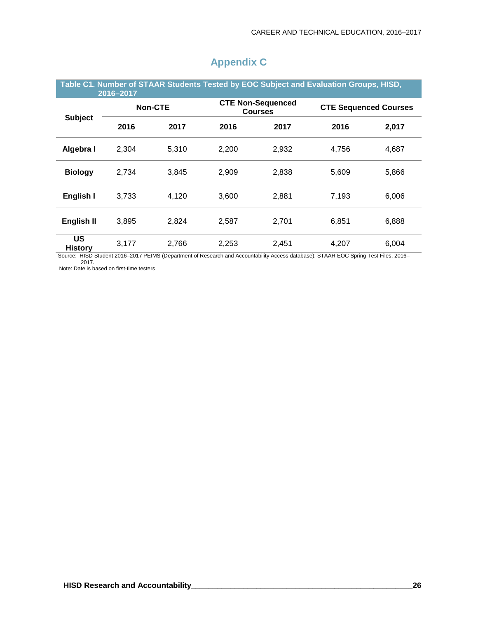| Table C1. Number of STAAR Students Tested by EOC Subject and Evaluation Groups, HISD,<br>2016-2017 |       |                |       |                                            |       |                              |  |
|----------------------------------------------------------------------------------------------------|-------|----------------|-------|--------------------------------------------|-------|------------------------------|--|
|                                                                                                    |       | <b>Non-CTE</b> |       | <b>CTE Non-Sequenced</b><br><b>Courses</b> |       | <b>CTE Sequenced Courses</b> |  |
| <b>Subject</b>                                                                                     | 2016  | 2017           | 2016  | 2017                                       | 2016  | 2,017                        |  |
| Algebra I                                                                                          | 2,304 | 5,310          | 2,200 | 2,932                                      | 4,756 | 4,687                        |  |
| <b>Biology</b>                                                                                     | 2,734 | 3,845          | 2,909 | 2,838                                      | 5,609 | 5,866                        |  |
| English I                                                                                          | 3,733 | 4,120          | 3.600 | 2,881                                      | 7,193 | 6,006                        |  |
| English II                                                                                         | 3,895 | 2,824          | 2,587 | 2,701                                      | 6,851 | 6,888                        |  |
| <b>US</b><br><b>History</b>                                                                        | 3,177 | 2,766          | 2,253 | 2,451                                      | 4,207 | 6,004                        |  |

## **Appendix C**

Source: HISD Student 2016–2017 PEIMS (Department of Research and Accountability Access database): STAAR EOC Spring Test Files, 2016– 2017.

Note: Date is based on first-time testers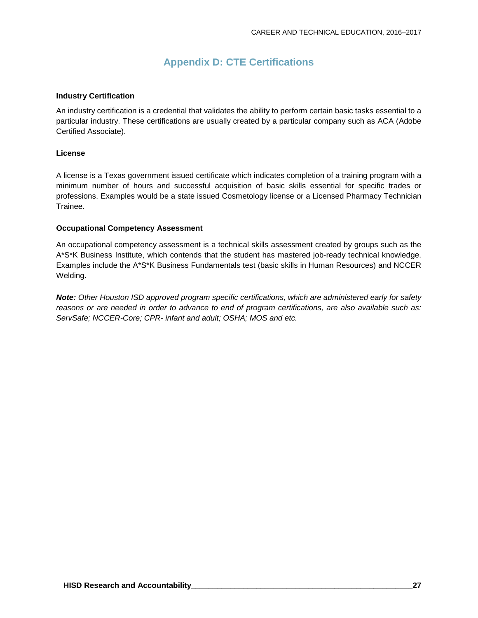## **Appendix D: CTE Certifications**

#### **Industry Certification**

An industry certification is a credential that validates the ability to perform certain basic tasks essential to a particular industry. These certifications are usually created by a particular company such as ACA (Adobe Certified Associate).

#### **License**

A license is a Texas government issued certificate which indicates completion of a training program with a minimum number of hours and successful acquisition of basic skills essential for specific trades or professions. Examples would be a state issued Cosmetology license or a Licensed Pharmacy Technician Trainee.

#### **Occupational Competency Assessment**

An occupational competency assessment is a technical skills assessment created by groups such as the A\*S\*K Business Institute, which contends that the student has mastered job-ready technical knowledge. Examples include the A\*S\*K Business Fundamentals test (basic skills in Human Resources) and NCCER Welding.

*Note: Other Houston ISD approved program specific certifications, which are administered early for safety* reasons or are needed in order to advance to end of program certifications, are also available such as: *ServSafe; NCCER-Core; CPR- infant and adult; OSHA; MOS and etc.*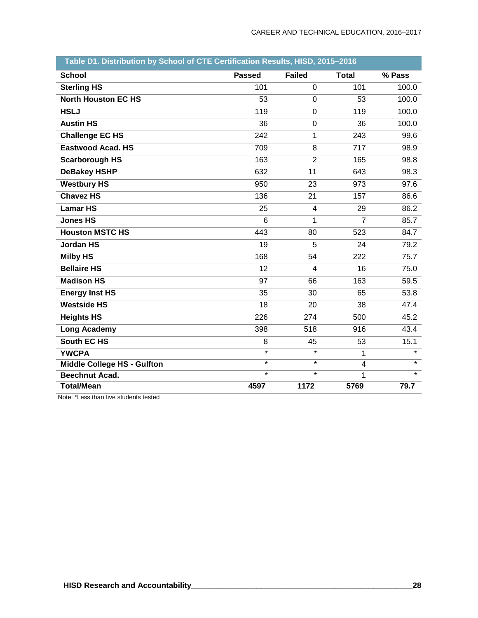| Table D1. Distribution by School of CTE Certification Results, HISD, 2015-2016 |               |                |                |         |  |  |  |
|--------------------------------------------------------------------------------|---------------|----------------|----------------|---------|--|--|--|
| <b>School</b>                                                                  | <b>Passed</b> | <b>Failed</b>  | <b>Total</b>   | % Pass  |  |  |  |
| <b>Sterling HS</b>                                                             | 101           | $\overline{0}$ | 101            | 100.0   |  |  |  |
| <b>North Houston EC HS</b>                                                     | 53            | $\mathbf 0$    | 53             | 100.0   |  |  |  |
| <b>HSLJ</b>                                                                    | 119           | $\mathbf 0$    | 119            | 100.0   |  |  |  |
| <b>Austin HS</b>                                                               | 36            | $\mathbf 0$    | 36             | 100.0   |  |  |  |
| <b>Challenge EC HS</b>                                                         | 242           | 1              | 243            | 99.6    |  |  |  |
| <b>Eastwood Acad. HS</b>                                                       | 709           | 8              | 717            | 98.9    |  |  |  |
| <b>Scarborough HS</b>                                                          | 163           | $\overline{2}$ | 165            | 98.8    |  |  |  |
| <b>DeBakey HSHP</b>                                                            | 632           | 11             | 643            | 98.3    |  |  |  |
| <b>Westbury HS</b>                                                             | 950           | 23             | 973            | 97.6    |  |  |  |
| <b>Chavez HS</b>                                                               | 136           | 21             | 157            | 86.6    |  |  |  |
| <b>Lamar HS</b>                                                                | 25            | $\overline{4}$ | 29             | 86.2    |  |  |  |
| <b>Jones HS</b>                                                                | 6             | $\mathbf{1}$   | $\overline{7}$ | 85.7    |  |  |  |
| <b>Houston MSTC HS</b>                                                         | 443           | 80             | 523            | 84.7    |  |  |  |
| <b>Jordan HS</b>                                                               | 19            | 5              | 24             | 79.2    |  |  |  |
| <b>Milby HS</b>                                                                | 168           | 54             | 222            | 75.7    |  |  |  |
| <b>Bellaire HS</b>                                                             | 12            | $\overline{4}$ | 16             | 75.0    |  |  |  |
| <b>Madison HS</b>                                                              | 97            | 66             | 163            | 59.5    |  |  |  |
| <b>Energy Inst HS</b>                                                          | 35            | 30             | 65             | 53.8    |  |  |  |
| <b>Westside HS</b>                                                             | 18            | 20             | 38             | 47.4    |  |  |  |
| <b>Heights HS</b>                                                              | 226           | 274            | 500            | 45.2    |  |  |  |
| <b>Long Academy</b>                                                            | 398           | 518            | 916            | 43.4    |  |  |  |
| <b>South EC HS</b>                                                             | 8             | 45             | 53             | 15.1    |  |  |  |
| <b>YWCPA</b>                                                                   | $\star$       | $\star$        | 1              | $\star$ |  |  |  |
| <b>Middle College HS - Gulfton</b>                                             | $\star$       | $\star$        | 4              | $\star$ |  |  |  |
| <b>Beechnut Acad.</b>                                                          | $\star$       | $\star$        | 1              | $\star$ |  |  |  |
| <b>Total/Mean</b>                                                              | 4597          | 1172           | 5769           | 79.7    |  |  |  |

Note: \*Less than five students tested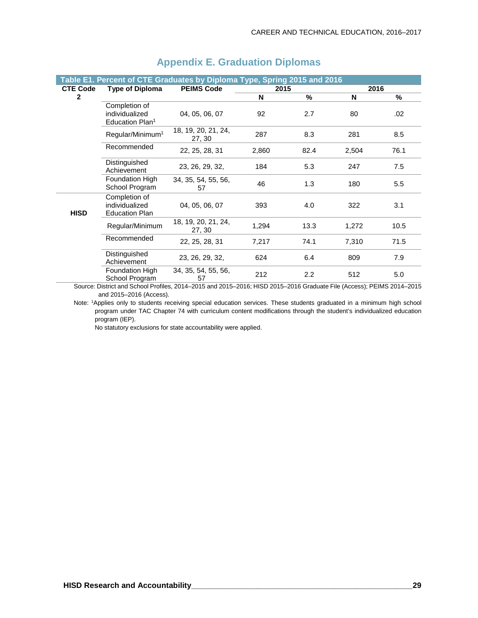|                 |                                                                | Table E1. Percent of CTE Graduates by Diploma Type, Spring 2015 and 2016 |       |      |       |      |
|-----------------|----------------------------------------------------------------|--------------------------------------------------------------------------|-------|------|-------|------|
| <b>CTE Code</b> | <b>Type of Diploma</b>                                         | <b>PEIMS Code</b>                                                        | 2015  |      | 2016  |      |
| 2               |                                                                |                                                                          | N     | %    | N     | %    |
|                 | Completion of<br>individualized<br>Education Plan <sup>1</sup> | 04, 05, 06, 07                                                           | 92    | 2.7  | 80    | .02  |
|                 | Regular/Minimum <sup>1</sup>                                   | 18, 19, 20, 21, 24,<br>27, 30                                            | 287   | 8.3  | 281   | 8.5  |
|                 | Recommended                                                    | 22, 25, 28, 31                                                           | 2,860 | 82.4 | 2,504 | 76.1 |
|                 | Distinguished<br>Achievement                                   | 23, 26, 29, 32,                                                          | 184   | 5.3  | 247   | 7.5  |
|                 | Foundation High<br>School Program                              | 34, 35, 54, 55, 56,<br>57                                                | 46    | 1.3  | 180   | 5.5  |
| <b>HISD</b>     | Completion of<br>individualized<br><b>Education Plan</b>       | 04, 05, 06, 07                                                           | 393   | 4.0  | 322   | 3.1  |
|                 | Regular/Minimum                                                | 18, 19, 20, 21, 24,<br>27, 30                                            | 1,294 | 13.3 | 1,272 | 10.5 |
|                 | Recommended                                                    | 22, 25, 28, 31                                                           | 7,217 | 74.1 | 7,310 | 71.5 |
|                 | Distinguished<br>Achievement                                   | 23, 26, 29, 32,                                                          | 624   | 6.4  | 809   | 7.9  |
|                 | <b>Foundation High</b><br>School Program                       | 34, 35, 54, 55, 56,<br>57                                                | 212   | 2.2  | 512   | 5.0  |

## **Appendix E. Graduation Diplomas**

Source: District and School Profiles, 2014–2015 and 2015–2016; HISD 2015–2016 Graduate File (Access); PEIMS 2014–2015 and 2015–2016 (Access).

Note: 1 Applies only to students receiving special education services. These students graduated in a minimum high school program under TAC Chapter 74 with curriculum content modifications through the student's individualized education program (IEP).

No statutory exclusions for state accountability were applied.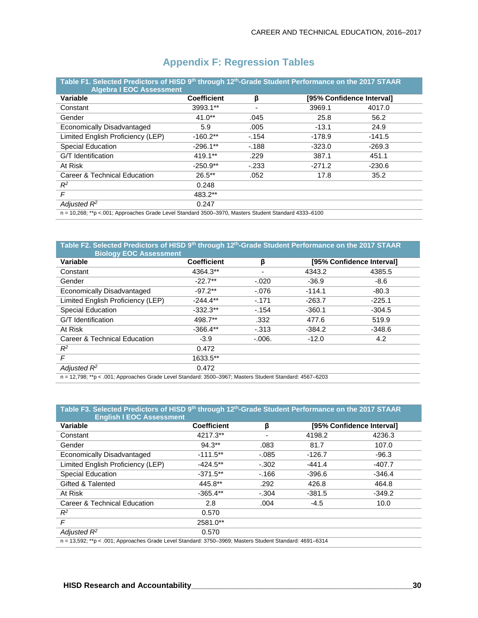| <b>Variable</b>                   | <b>Coefficient</b> | β      |          | [95% Confidence Interval] |
|-----------------------------------|--------------------|--------|----------|---------------------------|
| Constant                          | 3993.1**           |        | 3969.1   | 4017.0                    |
| Gender                            | $41.0**$           | .045   | 25.8     | 56.2                      |
| Economically Disadvantaged        | 5.9                | .005   | $-13.1$  | 24.9                      |
| Limited English Proficiency (LEP) | $-160.2**$         | $-154$ | $-178.9$ | $-141.5$                  |
| Special Education                 | $-296.1**$         | $-188$ | $-323.0$ | $-269.3$                  |
| G/T Identification                | $419.1**$          | .229   | 387.1    | 451.1                     |
| At Risk                           | $-250.9**$         | $-233$ | $-271.2$ | $-230.6$                  |
| Career & Technical Education      | $26.5***$          | .052   | 17.8     | 35.2                      |
| $R^2$                             | 0.248              |        |          |                           |
| $\mathsf{F}$                      | 483.2**            |        |          |                           |
| Adjusted $R^2$                    | 0.247              |        |          |                           |

## **Appendix F: Regression Tables**

**Table F2. Selected Predictors of HISD 9th through 12th-Grade Student Performance on the 2017 STAAR Biology EOC Assessment Variable Coefficient β [95% Confidence Interval]** Constant 4364.3\*\* - 4343.2 4385.5 Gender -22.7\*\* -.020 -36.9 -8.6 Economically Disadvantaged  $-97.2**$  -.076 -114.1 -80.3 Limited English Proficiency (LEP) -244.4\*\* -.171 -263.7 -225.1 Special Education  $-332.3**$   $-154$   $-360.1$   $-304.5$ G/T Identification **498.7\*\*** .332 477.6 519.9 At Risk -366.4\*\* -.313 -384.2 -348.6 Career & Technical Education -3.9 -.006. -12.0 -12.0 4.2  $R^2$  0.472<br> *F* 1633.5\* *F* 1633.5\*\*  $A$ *djusted*  $R^2$  0.472

n = 12,798; \*\*p < .001; Approaches Grade Level Standard: 3500–3967; Masters Student Standard: 4567–6203

## Table F3. Selected Predictors of HISD 9<sup>th</sup> through 12<sup>th</sup>-Grade Student Performance on the 2017 STAAR

| <b>English I EOC Assessment</b>                                                                         |                    |          |                           |          |  |  |  |
|---------------------------------------------------------------------------------------------------------|--------------------|----------|---------------------------|----------|--|--|--|
| <b>Variable</b>                                                                                         | <b>Coefficient</b> | β        | [95% Confidence Interval] |          |  |  |  |
| Constant                                                                                                | 4217.3**           |          | 4198.2                    | 4236.3   |  |  |  |
| Gender                                                                                                  | $94.3**$           | .083     | 81.7                      | 107.0    |  |  |  |
| Economically Disadvantaged                                                                              | $-111.5**$         | $-0.085$ | $-126.7$                  | $-96.3$  |  |  |  |
| Limited English Proficiency (LEP)                                                                       | $-424.5***$        | $-.302$  | $-441.4$                  | $-407.7$ |  |  |  |
| <b>Special Education</b>                                                                                | $-371.5**$         | $-166$   | $-396.6$                  | $-346.4$ |  |  |  |
| Gifted & Talented                                                                                       | 445.8**            | .292     | 426.8                     | 464.8    |  |  |  |
| At Risk                                                                                                 | $-365.4**$         | $-.304$  | $-381.5$                  | $-349.2$ |  |  |  |
| Career & Technical Education                                                                            | 2.8                | .004     | $-4.5$                    | 10.0     |  |  |  |
| $R^2$                                                                                                   | 0.570              |          |                           |          |  |  |  |
| F                                                                                                       | 2581.0**           |          |                           |          |  |  |  |
| Adjusted $R^2$                                                                                          | 0.570              |          |                           |          |  |  |  |
| n = 13,592; **p < .001; Approaches Grade Level Standard: 3750-3969; Masters Student Standard: 4691-6314 |                    |          |                           |          |  |  |  |